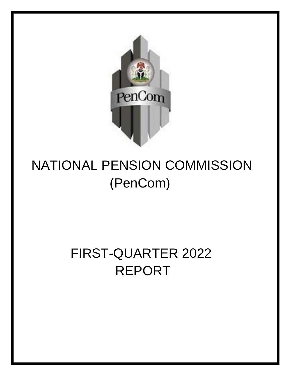

# NATIONAL PENSION COMMISSION (PenCom)

# <span id="page-0-0"></span>FIRST-QUARTER 2022 REPORT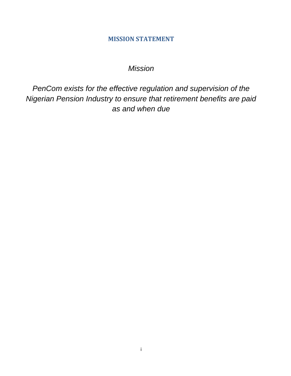#### **MISSION STATEMENT**

## *Mission*

<span id="page-1-0"></span>*PenCom exists for the effective regulation and supervision of the Nigerian Pension Industry to ensure that retirement benefits are paid as and when due*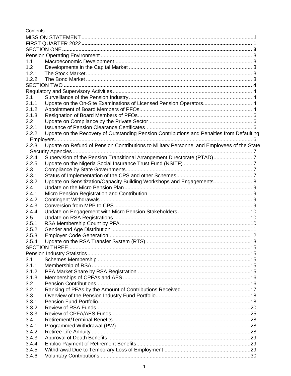Contents

| 1.1   |                                                                                            |  |  |  |  |  |
|-------|--------------------------------------------------------------------------------------------|--|--|--|--|--|
| 1.2   |                                                                                            |  |  |  |  |  |
| 1.2.1 |                                                                                            |  |  |  |  |  |
| 1.2.2 |                                                                                            |  |  |  |  |  |
|       |                                                                                            |  |  |  |  |  |
|       |                                                                                            |  |  |  |  |  |
| 2.1   |                                                                                            |  |  |  |  |  |
| 2.1.1 | Update on the On-Site Examinations of Licensed Pension Operators 4                         |  |  |  |  |  |
| 2.1.2 |                                                                                            |  |  |  |  |  |
|       |                                                                                            |  |  |  |  |  |
| 2.1.3 |                                                                                            |  |  |  |  |  |
| 2.2   |                                                                                            |  |  |  |  |  |
| 2.2.1 |                                                                                            |  |  |  |  |  |
| 2.2.2 | Update on the Recovery of Outstanding Pension Contributions and Penalties from Defaulting  |  |  |  |  |  |
|       |                                                                                            |  |  |  |  |  |
| 2.2.3 | Update on Refund of Pension Contributions to Military Personnel and Employees of the State |  |  |  |  |  |
|       |                                                                                            |  |  |  |  |  |
| 2.2.4 |                                                                                            |  |  |  |  |  |
| 2.2.5 |                                                                                            |  |  |  |  |  |
| 2.3   |                                                                                            |  |  |  |  |  |
| 2.3.1 |                                                                                            |  |  |  |  |  |
| 2.3.2 | Update on Sensitization/Capacity Building Workshops and Engagements 8                      |  |  |  |  |  |
| 2.4   |                                                                                            |  |  |  |  |  |
| 2.4.1 |                                                                                            |  |  |  |  |  |
| 2.4.2 |                                                                                            |  |  |  |  |  |
| 2.4.3 |                                                                                            |  |  |  |  |  |
| 2.4.4 |                                                                                            |  |  |  |  |  |
| 2.5   |                                                                                            |  |  |  |  |  |
| 2.5.1 |                                                                                            |  |  |  |  |  |
| 2.5.2 |                                                                                            |  |  |  |  |  |
| 2.5.3 |                                                                                            |  |  |  |  |  |
|       |                                                                                            |  |  |  |  |  |
| 2.5.4 |                                                                                            |  |  |  |  |  |
|       |                                                                                            |  |  |  |  |  |
|       |                                                                                            |  |  |  |  |  |
| 3.1   |                                                                                            |  |  |  |  |  |
| 3.1.1 |                                                                                            |  |  |  |  |  |
| 3.1.2 |                                                                                            |  |  |  |  |  |
| 3.1.3 |                                                                                            |  |  |  |  |  |
| 3.2   |                                                                                            |  |  |  |  |  |
| 3.2.1 |                                                                                            |  |  |  |  |  |
| 3.3   |                                                                                            |  |  |  |  |  |
| 3.3.1 |                                                                                            |  |  |  |  |  |
| 3.3.2 |                                                                                            |  |  |  |  |  |
| 3.3.3 |                                                                                            |  |  |  |  |  |
| 3.4   |                                                                                            |  |  |  |  |  |
| 3.4.1 |                                                                                            |  |  |  |  |  |
| 3.4.2 |                                                                                            |  |  |  |  |  |
| 3.4.3 |                                                                                            |  |  |  |  |  |
| 3.4.4 |                                                                                            |  |  |  |  |  |
| 3.4.5 |                                                                                            |  |  |  |  |  |
| 3.4.6 |                                                                                            |  |  |  |  |  |
|       |                                                                                            |  |  |  |  |  |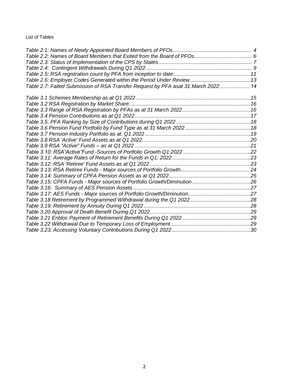List of Tables

| Table 2.7: Failed Submission of RSA Transfer Request by PFA asat 31 March 202214 |  |
|----------------------------------------------------------------------------------|--|
|                                                                                  |  |
|                                                                                  |  |
|                                                                                  |  |
|                                                                                  |  |
|                                                                                  |  |
|                                                                                  |  |
|                                                                                  |  |
|                                                                                  |  |
|                                                                                  |  |
|                                                                                  |  |
|                                                                                  |  |
|                                                                                  |  |
|                                                                                  |  |
|                                                                                  |  |
|                                                                                  |  |
|                                                                                  |  |
|                                                                                  |  |
|                                                                                  |  |
|                                                                                  |  |
|                                                                                  |  |
|                                                                                  |  |
|                                                                                  |  |
|                                                                                  |  |
|                                                                                  |  |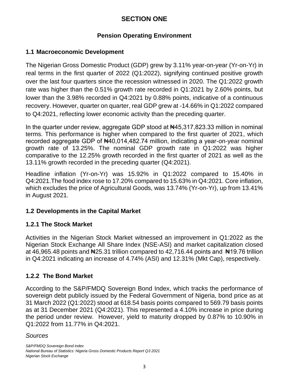## **SECTION ONE**

## **Pension Operating Environment**

#### <span id="page-4-2"></span><span id="page-4-1"></span><span id="page-4-0"></span>**1.1 Macroeconomic Development**

The Nigerian Gross Domestic Product (GDP) grew by 3.11% year-on-year (Yr-on-Yr) in real terms in the first quarter of 2022 (Q1:2022), signifying continued positive growth over the last four quarters since the recession witnessed in 2020. The Q1:2022 growth rate was higher than the 0.51% growth rate recorded in Q1:2021 by 2.60% points, but lower than the 3.98% recorded in Q4:2021 by 0.88% points, indicative of a continuous recovery. However, quarter on quarter, real GDP grew at -14.66% in Q1:2022 compared to Q4:2021, reflecting lower economic activity than the preceding quarter.

In the quarter under review, aggregate GDP stood at  $\text{N45},317,823.33$  million in nominal terms. This performance is higher when compared to the first quarter of 2021, which recorded aggregate GDP of  $\text{H40,014,482.74}$  million, indicating a year-on-year nominal growth rate of 13.25%. The nominal GDP growth rate in Q1:2022 was higher comparative to the 12.25% growth recorded in the first quarter of 2021 as well as the 13.11% growth recorded in the preceding quarter (Q4:2021).

Headline inflation (Yr-on-Yr) was 15.92% in Q1:2022 compared to 15.40% in Q4:2021.The food index rose to 17.20% compared to 15.63% in Q4:2021. Core inflation, which excludes the price of Agricultural Goods, was 13.74% (Yr-on-Yr), up from 13.41% in August 2021.

## <span id="page-4-3"></span>**1.2 Developments in the Capital Market**

## <span id="page-4-4"></span>**1.2.1 The Stock Market**

Activities in the Nigerian Stock Market witnessed an improvement in Q1:2022 as the Nigerian Stock Exchange All Share Index (NSE-ASI) and market capitalization closed at 46,965.48 points and  $\frac{1}{25.31}$  trillion compared to 42,716.44 points and  $\frac{1}{21.76}$  trillion in Q4:2021 indicating an increase of 4.74% (ASI) and 12.31% (Mkt Cap), respectively.

## <span id="page-4-5"></span>**1.2.2 The Bond Market**

According to the S&P/FMDQ Sovereign Bond Index, which tracks the performance of sovereign debt publicly issued by the Federal Government of Nigeria, bond price as at 31 March 2022 (Q1:2022) stood at 618.54 basis points compared to 569.79 basis points as at 31 December 2021 (Q4:2021). This represented a 4.10% increase in price during the period under review. However, yield to maturity dropped by 0.87% to 10.90% in Q1:2022 from 11.77% in Q4:2021.

#### *Sources*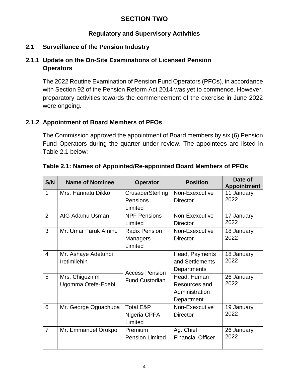## **SECTION TWO**

#### **Regulatory and Supervisory Activities**

#### <span id="page-5-2"></span><span id="page-5-1"></span><span id="page-5-0"></span>**2.1 Surveillance of the Pension Industry**

## <span id="page-5-3"></span>**2.1.1 Update on the On-Site Examinations of Licensed Pension Operators**

The 2022 Routine Examination of Pension Fund Operators (PFOs), in accordance with Section 92 of the Pension Reform Act 2014 was yet to commence. However, preparatory activities towards the commencement of the exercise in June 2022 were ongoing.

## <span id="page-5-4"></span>**2.1.2 Appointment of Board Members of PFOs**

The Commission approved the appointment of Board members by six (6) Pension Fund Operators during the quarter under review. The appointees are listed in Table 2.1 below:

| S/N            | <b>Name of Nominee</b>                | <b>Operator</b>                                    | <b>Position</b>                                              | Date of<br><b>Appointment</b> |
|----------------|---------------------------------------|----------------------------------------------------|--------------------------------------------------------------|-------------------------------|
| 1              | Mrs. Hannatu Dikko                    | CrusaderSterling<br>Pensions                       | Non-Exexcutive<br><b>Director</b>                            | 11 January<br>2022            |
|                |                                       | Limited                                            |                                                              |                               |
| $\overline{2}$ | AIG Adamu Usman                       | <b>NPF Pensions</b><br>Limited                     | Non-Exexcutive<br><b>Director</b>                            | 17 January<br>2022            |
| 3              | Mr. Umar Faruk Aminu                  | <b>Radix Pension</b><br><b>Managers</b><br>Limited | Non-Exexcutive<br><b>Director</b>                            | 18 January<br>2022            |
| $\overline{4}$ | Mr. Ashaye Adetunbi<br>Iretimilehin   | <b>Access Pension</b>                              | Head, Payments<br>and Settlements<br>Departments             | 18 January<br>2022            |
| 5              | Mrs. Chigozirim<br>Ugomma Otefe-Edebi | <b>Fund Custodian</b>                              | Head, Human<br>Resources and<br>Administration<br>Department | 26 January<br>2022            |
| 6              | Mr. George Oguachuba                  | <b>Total E&amp;P</b><br>Nigeria CPFA<br>Limited    | Non-Exexcutive<br><b>Director</b>                            | 19 January<br>2022            |
| $\overline{7}$ | Mr. Emmanuel Orokpo                   | Premium<br><b>Pension Limited</b>                  | Ag. Chief<br><b>Financial Officer</b>                        | 26 January<br>2022            |

#### <span id="page-5-5"></span>**Table 2.1: Names of Appointed/Re-appointed Board Members of PFOs**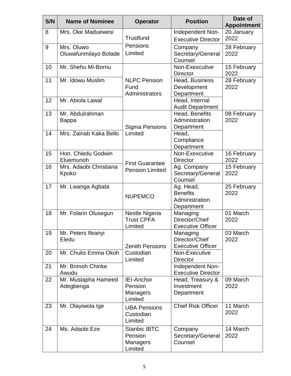| S/N | <b>Name of Nominee</b>              | <b>Operator</b>                                       | <b>Position</b>                                              | Date of<br><b>Appointment</b> |
|-----|-------------------------------------|-------------------------------------------------------|--------------------------------------------------------------|-------------------------------|
| 8   | Mrs. Oke Maduewesi                  | Trustfund                                             | Independent Non-<br><b>Executive Director</b>                | 20 January<br>2022            |
| 9   | Mrs. Oluwo<br>Oluwafunmilayo Bolade | Pensions<br>Limited                                   | Company<br>Secretary/General<br>Counsel                      | 28 February<br>2022           |
| 10  | Mr. Shehu Mi-Bornu                  |                                                       | Non-Exexcutive<br><b>Director</b>                            | 15 February<br>2022           |
| 11  | Mr. Idowu Muslim                    | <b>NLPC Pension</b><br>Fund<br>Administrators         | Head, Business<br>Development<br>Department                  | 28 February<br>2022           |
| 12  | Mr. Abiola Lawal                    |                                                       | Head, Internal<br><b>Audit Department</b>                    |                               |
| 13  | Mr. Abdulrahman<br><b>Bappa</b>     | Sigma Pensions                                        | Head, Benefits<br>Administration<br>Department               | 08 February<br>2022           |
| 14  | Mrs. Zainab Kaka Bello              | Limited                                               | Head,<br>Compliance<br>Department                            |                               |
| 15  | Hon. Chiedu Godwin<br>Eluemunoh     |                                                       | Non-Exexcutive<br><b>Director</b>                            | 16 February<br>2022           |
| 16  | Mrs. Adaobi Christiana<br>Kpoko     | <b>First Guarantee</b><br><b>Pension Limited</b>      | Ag. Company<br>Secretary/General<br>Counsel                  | 15 February<br>2022           |
| 17  | Mr. Lwanga Agbata                   | <b>NUPEMCO</b>                                        | Ag. Head,<br><b>Benefits</b><br>Administration<br>Department | 25 February<br>2022           |
| 18  | Mr. Folarin Olusegun                | Nestle Nigeria<br><b>Trust CPFA</b><br>Limited        | Managing<br>Director/Chief<br><b>Executive Officer</b>       | 01 March<br>2022              |
| 19  | Mr. Peters Ifeanyi<br>Eledu         | <b>Zenith Pensions</b>                                | Managing<br>Director/Chief<br><b>Executive Officer</b>       | 03 March<br>2022              |
| 20  | Mr. Chuks Emma Okoh                 | Custodian<br>Limited                                  | Non-Executive<br><b>Director</b>                             |                               |
| 21  | Mr. Brimoh Chinke<br>Awudu          |                                                       | Independent Non-<br><b>Executive Director</b>                |                               |
| 22  | Mr. Mustapha Hameed<br>Adegbenga    | <b>IEI-Anchor</b><br>Pension<br>Managers<br>Limited   | Head, Treasury &<br>Investment<br>Department                 | 09 March<br>2022              |
| 23  | Mr. Olayiwola Ige                   | <b>UBA Pensions</b><br>Custodian<br>Limited           | <b>Chief Risk Officer</b>                                    | 11 March<br>2022              |
| 24  | Ms. Adaobi Eze                      | <b>Stanbic IBTC</b><br>Pension<br>Managers<br>Limited | Company<br>Secretary/General<br>Counsel                      | 14 March<br>2022              |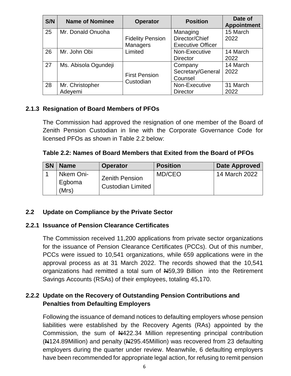| S/N | <b>Name of Nominee</b> | <b>Operator</b>         | <b>Position</b>          | Date of<br><b>Appointment</b> |
|-----|------------------------|-------------------------|--------------------------|-------------------------------|
| 25  | Mr. Donald Onuoha      |                         | Managing                 | 15 March                      |
|     |                        | <b>Fidelity Pension</b> | Director/Chief           | 2022                          |
|     |                        | <b>Managers</b>         | <b>Executive Officer</b> |                               |
| 26  | Mr. John Obi           | Limited                 | Non-Executive            | 14 March                      |
|     |                        |                         | <b>Director</b>          | 2022                          |
| 27  | Ms. Abisola Ogundeji   |                         | Company                  | 14 March                      |
|     |                        | <b>First Pension</b>    | Secretary/General        | 2022                          |
|     |                        | Custodian               | Counsel                  |                               |
| 28  | Mr. Christopher        |                         | Non-Executive            | 31 March                      |
|     | Adeyemi                |                         | <b>Director</b>          | 2022                          |

## <span id="page-7-0"></span>**2.1.3 Resignation of Board Members of PFOs**

The Commission had approved the resignation of one member of the Board of Zenith Pension Custodian in line with the Corporate Governance Code for licensed PFOs as shown in Table 2.2 below:

#### <span id="page-7-4"></span>**Table 2.2: Names of Board Members that Exited from the Board of PFOs**

| <b>SN</b> | <b>Name</b>                  | <b>Operator</b>                                   | <b>Position</b> | <b>Date Approved</b> |
|-----------|------------------------------|---------------------------------------------------|-----------------|----------------------|
|           | Nkem Oni-<br>Egboma<br>(Mrs) | <b>Zenith Pension</b><br><b>Custodian Limited</b> | MD/CEO          | 14 March 2022        |

#### <span id="page-7-1"></span>**2.2 Update on Compliance by the Private Sector**

#### <span id="page-7-2"></span>**2.2.1 Issuance of Pension Clearance Certificates**

The Commission received 11,200 applications from private sector organizations for the issuance of Pension Clearance Certificates (PCCs). Out of this number, PCCs were issued to 10,541 organizations, while 659 applications were in the approval process as at 31 March 2022. The records showed that the 10,541 organizations had remitted a total sum of N59,39 Billion into the Retirement Savings Accounts (RSAs) of their employees, totaling 45,170.

## <span id="page-7-3"></span>**2.2.2 Update on the Recovery of Outstanding Pension Contributions and Penalties from Defaulting Employers**

Following the issuance of demand notices to defaulting employers whose pension liabilities were established by the Recovery Agents (RAs) appointed by the Commission, the sum of N422.34 Million representing principal contribution (N124.89Million) and penalty (N295.45Million) was recovered from 23 defaulting employers during the quarter under review. Meanwhile, 6 defaulting employers have been recommended for appropriate legal action, for refusing to remit pension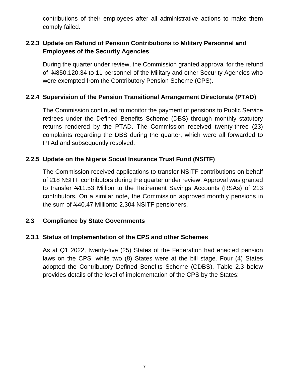contributions of their employees after all administrative actions to make them comply failed.

## <span id="page-8-0"></span>**2.2.3 Update on Refund of Pension Contributions to Military Personnel and Employees of the Security Agencies**

During the quarter under review, the Commission granted approval for the refund of N850,120.34 to 11 personnel of the Military and other Security Agencies who were exempted from the Contributory Pension Scheme (CPS).

## <span id="page-8-1"></span>**2.2.4 Supervision of the Pension Transitional Arrangement Directorate (PTAD)**

The Commission continued to monitor the payment of pensions to Public Service retirees under the Defined Benefits Scheme (DBS) through monthly statutory returns rendered by the PTAD. The Commission received twenty-three (23) complaints regarding the DBS during the quarter, which were all forwarded to PTAd and subsequently resolved.

#### <span id="page-8-2"></span>**2.2.5 Update on the Nigeria Social Insurance Trust Fund (NSITF)**

The Commission received applications to transfer NSITF contributions on behalf of 218 NSITF contributors during the quarter under review. Approval was granted to transfer A11.53 Million to the Retirement Savings Accounts (RSAs) of 213 contributors. On a similar note, the Commission approved monthly pensions in the sum of N40.47 Millionto 2,304 NSITF pensioners.

#### <span id="page-8-3"></span>**2.3 Compliance by State Governments**

#### <span id="page-8-4"></span>**2.3.1 Status of Implementation of the CPS and other Schemes**

<span id="page-8-5"></span>As at Q1 2022, twenty-five (25) States of the Federation had enacted pension laws on the CPS, while two (8) States were at the bill stage. Four (4) States adopted the Contributory Defined Benefits Scheme (CDBS). Table 2.3 below provides details of the level of implementation of the CPS by the States: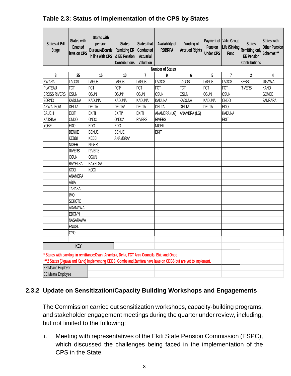| <b>States at Bill</b><br><b>Stage</b> | <b>States with</b><br><b>Enacted</b><br>laws on CPS | <b>States with</b><br>pension<br><b>Bureaux/Boards</b><br>in line with CPS                                     | <b>States</b><br><b>Remitting ER</b><br>& EE Pension<br><b>Contributions</b> | <b>States that</b><br>Conducted<br><b>Actuarial</b><br>Valuation | Availability of<br><b>RBBRFA</b> | <b>Funding of</b><br><b>Accrued Rights</b> | Pension<br><b>Under CPS</b>  | Payment of Valid Group<br>Life /Sinking<br>Fund | <b>States</b><br>Remitting only Schemes***<br><b>EE Pension</b><br><b>Contributions</b> | <b>States with</b><br><b>Other Pension</b> |
|---------------------------------------|-----------------------------------------------------|----------------------------------------------------------------------------------------------------------------|------------------------------------------------------------------------------|------------------------------------------------------------------|----------------------------------|--------------------------------------------|------------------------------|-------------------------------------------------|-----------------------------------------------------------------------------------------|--------------------------------------------|
|                                       |                                                     |                                                                                                                |                                                                              |                                                                  | <b>Number of States</b>          |                                            |                              |                                                 |                                                                                         |                                            |
| 8                                     | 25                                                  | 15                                                                                                             | 10                                                                           | $\overline{7}$                                                   | 9                                | 6                                          | 5                            | $\overline{7}$<br><b>LAGOS</b>                  | $\overline{2}$<br><b>KEBBI</b>                                                          | 4<br><b>JIGAWA</b>                         |
| <b>KWARA</b>                          | <b>LAGOS</b><br><b>FCT</b>                          | <b>LAGOS</b><br>FCT                                                                                            | LAGOS<br>FCT*                                                                | <b>LAGOS</b><br><b>FCT</b>                                       | <b>LAGOS</b><br><b>FCT</b>       | <b>LAGOS</b><br><b>FCT</b>                 | <b>LAGOS</b><br><b>FCT</b>   | <b>FCT</b>                                      | <b>RIVERS</b>                                                                           | <b>KANO</b>                                |
| <b>PLATEAU</b>                        |                                                     | <b>OSUN</b>                                                                                                    |                                                                              | <b>OSUN</b>                                                      | <b>OSUN</b>                      |                                            |                              |                                                 |                                                                                         | <b>GOMBE</b>                               |
| <b>CROSS RIVERS</b>                   | OSUN<br><b>KADUNA</b>                               | <b>KADUNA</b>                                                                                                  | OSUN*<br><b>KADUNA</b>                                                       | <b>KADUNA</b>                                                    | <b>KADUNA</b>                    | <b>OSUN</b><br><b>KADUNA</b>               | <b>OSUN</b><br><b>KADUNA</b> | <b>OSUN</b><br><b>ONDO</b>                      |                                                                                         |                                            |
| <b>BORNO</b><br><b>AKWA IBOM</b>      | <b>DELTA</b>                                        | <b>DELTA</b>                                                                                                   | DELTA*                                                                       | DELTA                                                            |                                  | <b>DELTA</b>                               |                              | ED <sub>O</sub>                                 |                                                                                         | <b>ZAMFARA</b>                             |
| <b>BAUCHI</b>                         | <b>EKITI</b>                                        | <b>EKITI</b>                                                                                                   | EKITI*                                                                       | <b>EKITI</b>                                                     | <b>DELTA</b><br>ANAMBRA (LG)     | ANAMBRA (LG)                               | <b>DELTA</b>                 | <b>KADUNA</b>                                   |                                                                                         |                                            |
| <b>KATSINA</b>                        | <b>ONDO</b>                                         | <b>ONDO</b>                                                                                                    | ONDO*                                                                        | <b>RIVERS</b>                                                    | <b>RIVERS</b>                    |                                            |                              | <b>EKITI</b>                                    |                                                                                         |                                            |
| <b>YOBE</b>                           | <b>EDO</b>                                          | <b>EDO</b>                                                                                                     | <b>EDO</b>                                                                   |                                                                  | <b>NIGER</b>                     |                                            |                              |                                                 |                                                                                         |                                            |
|                                       | <b>BENUE</b>                                        | <b>BENUE</b>                                                                                                   | <b>BENUE</b>                                                                 |                                                                  | <b>EKITI</b>                     |                                            |                              |                                                 |                                                                                         |                                            |
|                                       | <b>KEBBI</b>                                        | <b>KEBBI</b>                                                                                                   | ANAMBRA*                                                                     |                                                                  |                                  |                                            |                              |                                                 |                                                                                         |                                            |
|                                       | <b>NIGER</b>                                        | <b>NIGER</b>                                                                                                   |                                                                              |                                                                  |                                  |                                            |                              |                                                 |                                                                                         |                                            |
|                                       | <b>RIVERS</b>                                       | <b>RIVERS</b>                                                                                                  |                                                                              |                                                                  |                                  |                                            |                              |                                                 |                                                                                         |                                            |
|                                       | OGUN                                                | <b>OGUN</b>                                                                                                    |                                                                              |                                                                  |                                  |                                            |                              |                                                 |                                                                                         |                                            |
|                                       | BAYELSA                                             | <b>BAYELSA</b>                                                                                                 |                                                                              |                                                                  |                                  |                                            |                              |                                                 |                                                                                         |                                            |
|                                       | <b>KOGI</b>                                         | <b>KOGI</b>                                                                                                    |                                                                              |                                                                  |                                  |                                            |                              |                                                 |                                                                                         |                                            |
|                                       | <b>ANAMBRA</b>                                      |                                                                                                                |                                                                              |                                                                  |                                  |                                            |                              |                                                 |                                                                                         |                                            |
|                                       | ABIA                                                |                                                                                                                |                                                                              |                                                                  |                                  |                                            |                              |                                                 |                                                                                         |                                            |
|                                       | <b>TARABA</b>                                       |                                                                                                                |                                                                              |                                                                  |                                  |                                            |                              |                                                 |                                                                                         |                                            |
|                                       | <b>IMO</b>                                          |                                                                                                                |                                                                              |                                                                  |                                  |                                            |                              |                                                 |                                                                                         |                                            |
|                                       | <b>SOKOTO</b>                                       |                                                                                                                |                                                                              |                                                                  |                                  |                                            |                              |                                                 |                                                                                         |                                            |
|                                       | <b>ADAMAWA</b>                                      |                                                                                                                |                                                                              |                                                                  |                                  |                                            |                              |                                                 |                                                                                         |                                            |
|                                       | <b>EBONYI</b>                                       |                                                                                                                |                                                                              |                                                                  |                                  |                                            |                              |                                                 |                                                                                         |                                            |
|                                       | NASARAWA                                            |                                                                                                                |                                                                              |                                                                  |                                  |                                            |                              |                                                 |                                                                                         |                                            |
|                                       | <b>ENUGU</b>                                        |                                                                                                                |                                                                              |                                                                  |                                  |                                            |                              |                                                 |                                                                                         |                                            |
|                                       | <b>OYO</b>                                          |                                                                                                                |                                                                              |                                                                  |                                  |                                            |                              |                                                 |                                                                                         |                                            |
|                                       |                                                     |                                                                                                                |                                                                              |                                                                  |                                  |                                            |                              |                                                 |                                                                                         |                                            |
|                                       | <b>KEY</b>                                          |                                                                                                                |                                                                              |                                                                  |                                  |                                            |                              |                                                 |                                                                                         |                                            |
|                                       |                                                     | * States with backlog in remittance: Osun, Anambra, Delta, FCT Area Councils, Ekiti and Ondo                   |                                                                              |                                                                  |                                  |                                            |                              |                                                 |                                                                                         |                                            |
|                                       |                                                     | ***2 States (Jigawa and Kano) implementing CDBS. Gombe and Zamfara have laws on CDBS but are yet to implement. |                                                                              |                                                                  |                                  |                                            |                              |                                                 |                                                                                         |                                            |
| <b>ER Means Employer</b>              |                                                     |                                                                                                                |                                                                              |                                                                  |                                  |                                            |                              |                                                 |                                                                                         |                                            |
| <b>EE</b> Means Employee              |                                                     |                                                                                                                |                                                                              |                                                                  |                                  |                                            |                              |                                                 |                                                                                         |                                            |

## **Table 2.3: Status of Implementation of the CPS by States**

## <span id="page-9-0"></span>**2.3.2 Update on Sensitization/Capacity Building Workshops and Engagements**

The Commission carried out sensitization workshops, capacity-building programs, and stakeholder engagement meetings during the quarter under review, including, but not limited to the following:

i. Meeting with representatives of the Ekiti State Pension Commission (ESPC), which discussed the challenges being faced in the implementation of the CPS in the State.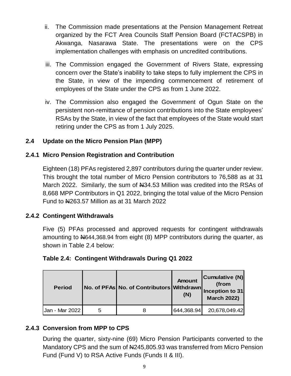- ii. The Commission made presentations at the Pension Management Retreat organized by the FCT Area Councils Staff Pension Board (FCTACSPB) in Akwanga, Nasarawa State. The presentations were on the CPS implementation challenges with emphasis on uncredited contributions.
- iii. The Commission engaged the Government of Rivers State, expressing concern over the State's inability to take steps to fully implement the CPS in the State, in view of the impending commencement of retirement of employees of the State under the CPS as from 1 June 2022.
- iv. The Commission also engaged the Government of Ogun State on the persistent non-remittance of pension contributions into the State employees' RSAs by the State, in view of the fact that employees of the State would start retiring under the CPS as from 1 July 2025.

## <span id="page-10-0"></span>**2.4 Update on the Micro Pension Plan (MPP)**

#### <span id="page-10-1"></span>**2.4.1 Micro Pension Registration and Contribution**

Eighteen (18) PFAs registered 2,897 contributors during the quarter under review. This brought the total number of Micro Pension contributors to 76,588 as at 31 March 2022. Similarly, the sum of N434.53 Million was credited into the RSAs of 8,668 MPP Contributors in Q1 2022, bringing the total value of the Micro Pension Fund to  $\mu$ 263.57 Million as at 31 March 2022

#### <span id="page-10-2"></span>**2.4.2 Contingent Withdrawals**

Five (5) PFAs processed and approved requests for contingent withdrawals amounting to N644,368.94 from eight (8) MPP contributors during the quarter, as shown in Table 2.4 below:

| <b>Period</b>  | No. of PFAs No. of Contributors Withdrawn Inception to 31 | <b>Amount</b><br>(N) | Cumulative (N)<br>(from<br><b>March 2022)</b> |
|----------------|-----------------------------------------------------------|----------------------|-----------------------------------------------|
| Jan - Mar 2022 |                                                           | 644,368.94           | 20,678,049.42                                 |

## <span id="page-10-4"></span>**Table 2.4: Contingent Withdrawals During Q1 2022**

#### <span id="page-10-3"></span>**2.4.3 Conversion from MPP to CPS**

During the quarter, sixty-nine (69) Micro Pension Participants converted to the Mandatory CPS and the sum of N4245,805.93 was transferred from Micro Pension Fund (Fund V) to RSA Active Funds (Funds II & III).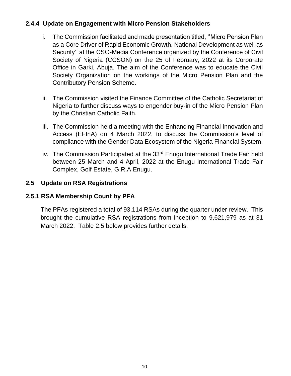## <span id="page-11-0"></span>**2.4.4 Update on Engagement with Micro Pension Stakeholders**

- i. The Commission facilitated and made presentation titled, ''Micro Pension Plan as a Core Driver of Rapid Economic Growth, National Development as well as Security'' at the CSO-Media Conference organized by the Conference of Civil Society of Nigeria (CCSON) on the 25 of February, 2022 at its Corporate Office in Garki, Abuja. The aim of the Conference was to educate the Civil Society Organization on the workings of the Micro Pension Plan and the Contributory Pension Scheme.
- ii. The Commission visited the Finance Committee of the Catholic Secretariat of Nigeria to further discuss ways to engender buy-in of the Micro Pension Plan by the Christian Catholic Faith.
- iii. The Commission held a meeting with the Enhancing Financial Innovation and Access (EFInA) on 4 March 2022, to discuss the Commission's level of compliance with the Gender Data Ecosystem of the Nigeria Financial System.
- iv. The Commission Participated at the 33<sup>rd</sup> Enugu International Trade Fair held between 25 March and 4 April, 2022 at the Enugu International Trade Fair Complex, Golf Estate, G.R.A Enugu.

#### <span id="page-11-1"></span>**2.5 Update on RSA Registrations**

#### <span id="page-11-2"></span>**2.5.1 RSA Membership Count by PFA**

<span id="page-11-3"></span>The PFAs registered a total of 93,114 RSAs during the quarter under review. This brought the cumulative RSA registrations from inception to 9,621,979 as at 31 March 2022. Table 2.5 below provides further details.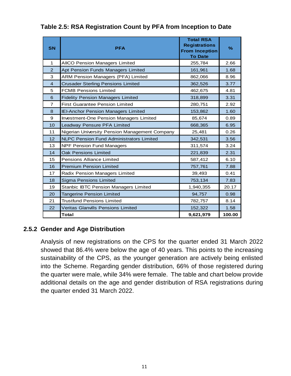| <b>SN</b>      | <b>PFA</b>                                      | <b>Total RSA</b><br><b>Registrations</b><br><b>From Inception</b><br><b>To Date</b> | $\%$   |
|----------------|-------------------------------------------------|-------------------------------------------------------------------------------------|--------|
| $\mathbf{1}$   | <b>AIICO Pension Managers Limited</b>           | 255,784                                                                             | 2.66   |
| $\overline{2}$ | Apt Pension Funds Managers Limited              | 161,961                                                                             | 1.68   |
| 3              | ARM Pension Managers (PFA) Limited              | 862,066                                                                             | 8.96   |
| $\overline{4}$ | <b>Crusader Sterling Pensions Limited</b>       | 362,526                                                                             | 3.77   |
| 5              | <b>FCMB Pensions Limited</b>                    | 462,675                                                                             | 4.81   |
| 6              | <b>Fidelity Pension Managers Limited</b>        | 318,899                                                                             | 3.31   |
| $\overline{7}$ | <b>First Guarantee Pension Limited</b>          | 280,751                                                                             | 2.92   |
| 8              | <b>IEI-Anchor Pension Managers Limited</b>      | 153,862                                                                             | 1.60   |
| 9              | Investment-One Pension Managers Limited         | 85,674                                                                              | 0.89   |
| 10             | Leadway Pensure PFA Limited                     | 668,365                                                                             | 6.95   |
| 11             | Nigerian University Pension Management Company  | 25,481                                                                              | 0.26   |
| 12             | <b>NLPC Pension Fund Administrators Limited</b> | 342,531                                                                             | 3.56   |
| 13             | <b>NPF Pension Fund Managers</b>                | 311,574                                                                             | 3.24   |
| 14             | <b>Oak Pensions Limited</b>                     | 221,839                                                                             | 2.31   |
| 15             | <b>Pensions Alliance Limited</b>                | 587,412                                                                             | 6.10   |
| 16             | <b>Premium Pension Limited</b>                  | 757,761                                                                             | 7.88   |
| 17             | Radix Pension Managers Limited                  | 39,493                                                                              | 0.41   |
| 18             | <b>Sigma Pensions Limited</b>                   | 753,134                                                                             | 7.83   |
| 19             | Stanbic IBTC Pension Managers Limited           | 1,940,355                                                                           | 20.17  |
| 20             | <b>Tangerine Pension Limited</b>                | 94,757                                                                              | 0.98   |
| 21             | <b>Trustfund Pensions Limited</b>               | 782,757                                                                             | 8.14   |
| 22             | <b>Veritas Glanvills Pensions Limited</b>       | 152,322                                                                             | 1.58   |
|                | Total                                           | 9,621,979                                                                           | 100.00 |

**Table 2.5: RSA Registration Count by PFA from Inception to Date**

#### <span id="page-12-0"></span>**2.5.2 Gender and Age Distribution**

Analysis of new registrations on the CPS for the quarter ended 31 March 2022 showed that 86.4% were below the age of 40 years. This points to the increasing sustainability of the CPS, as the younger generation are actively being enlisted into the Scheme. Regarding gender distribution, 66% of those registered during the quarter were male, while 34% were female. The table and chart below provide additional details on the age and gender distribution of RSA registrations during the quarter ended 31 March 2022.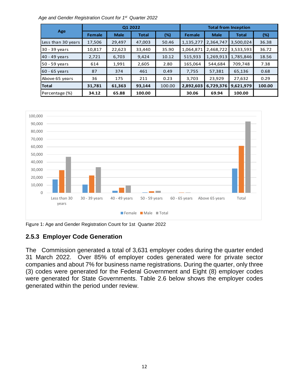*Age and Gender Registration Count for 1 st Quarter 2022*

|                    | Q1 2022       |             |              |        | <b>Total from Inception</b> |             |              |        |
|--------------------|---------------|-------------|--------------|--------|-----------------------------|-------------|--------------|--------|
| Age                | <b>Female</b> | <b>Male</b> | <b>Total</b> | $(\%)$ | Female                      | <b>Male</b> | <b>Total</b> | (%)    |
| Less than 30 years | 17,506        | 29,497      | 47,003       | 50.46  | 1,135,277                   | 2,364,747   | 3,500,024    | 36.38  |
| 30 - 39 years      | 10,817        | 22,623      | 33,440       | 35.90  | 1,064,871                   | 2,468,722   | 3,533,593    | 36.72  |
| 40 - 49 years      | 2,721         | 6,703       | 9,424        | 10.12  | 515,933                     | 1,269,913   | 1,785,846    | 18.56  |
| 50 - 59 years      | 614           | 1,991       | 2,605        | 2.80   | 165,064                     | 544,684     | 709,748      | 7.38   |
| 160 - 65 vears     | 87            | 374         | 461          | 0.49   | 7,755                       | 57,381      | 65,136       | 0.68   |
| Above 65 years     | 36            | 175         | 211          | 0.23   | 3,703                       | 23,929      | 27,632       | 0.29   |
| <b>Total</b>       | 31,781        | 61,363      | 93,144       | 100.00 | 2,892,603                   | 6,729,376   | 9,621,979    | 100.00 |
| Percentage (%)     | 34.12         | 65.88       | 100.00       |        | 30.06                       | 69.94       | 100.00       |        |



Figure 1: Age and Gender Registration Count for 1st Quarter 2022

## <span id="page-13-0"></span>**2.5.3 Employer Code Generation**

<span id="page-13-1"></span>The Commission generated a total of 3,631 employer codes during the quarter ended 31 March 2022. Over 85% of employer codes generated were for private sector companies and about 7% for business name registrations. During the quarter, only three (3) codes were generated for the Federal Government and Eight (8) employer codes were generated for State Governments. Table 2.6 below shows the employer codes generated within the period under review.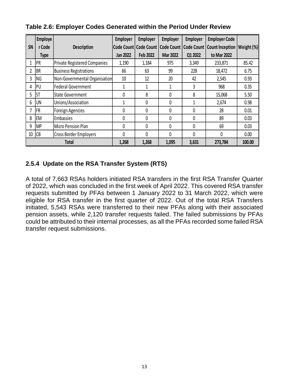|              | <b>Employe</b> |                                     | <b>Employer</b> | <b>Employer</b>         | <b>Employer</b>   | <b>Employer</b> | <b>Employer Code</b>                 |       |
|--------------|----------------|-------------------------------------|-----------------|-------------------------|-------------------|-----------------|--------------------------------------|-------|
| SN           | r Code         | <b>Description</b>                  |                 | Code Count   Code Count | <b>Code Count</b> | Code Count      | <b>Count Inception   Weight (%) </b> |       |
|              | <b>Type</b>    |                                     | <b>Jan 2022</b> | Feb 2022                | <b>Mar 2022</b>   | Q1 2022         | to Mar 2022                          |       |
|              | PR             | <b>Private Registered Companies</b> | 1,190           | 1,184                   | 975               | 3,349           | 233,871                              | 85.42 |
|              | BR             | <b>Business Registrations</b>       | 66              | 63                      | 99                | 228             | 18,472                               | 6.75  |
| 3            | ΝG             | Non-Governmental Organisation       | 10              | 12                      | 20                | 42              | 2,545                                | 0.93  |
| 4            | PU             | <b>Federal Government</b>           |                 |                         | 1                 | 3               | 968                                  | 0.35  |
| 5            | <b>ST</b>      | State Government                    | 0               | 8                       | 0                 | 8               | 15,068                               | 5.50  |
| 6            | <b>UN</b>      | Unions/Association                  |                 | 0                       | 0                 |                 | 2,674                                | 0.98  |
|              | <b>FR</b>      | Foreign Agencies                    | 0               | 0                       | 0                 | 0               | 28                                   | 0.01  |
| 8            | <b>EM</b>      | Embassies                           | 0               | 0                       | 0                 | 0               | 89                                   | 0.03  |
| 9            | <b>MP</b>      | <b>Micro Pension Plan</b>           | 0               | 0                       | 0                 | 0               | 69                                   | 0.03  |
| 10           | CB             | Cross Border Employers              | 0               | 0                       | 0                 | 0               | 0                                    | 0.00  |
| <b>Total</b> |                | 1,268                               | 1,268           | 1,095                   | 3,631             | 273,784         | 100.00                               |       |

**Table 2.6: Employer Codes Generated within the Period Under Review**

## <span id="page-14-0"></span>**2.5.4 Update on the RSA Transfer System (RTS)**

A total of 7,663 RSAs holders initiated RSA transfers in the first RSA Transfer Quarter of 2022, which was concluded in the first week of April 2022. This covered RSA transfer requests submitted by PFAs between 1 January 2022 to 31 March 2022, which were eligible for RSA transfer in the first quarter of 2022. Out of the total RSA Transfers initiated, 5,543 RSAs were transferred to their new PFAs along with their associated pension assets, while 2,120 transfer requests failed. The failed submissions by PFAs could be attributed to their internal processes, as all the PFAs recorded some failed RSA transfer request submissions.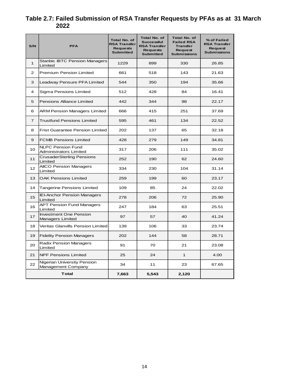## **Table 2.7: Failed Submission of RSA Transfer Requests by PFAs as at 31 March 2022**

| S/N             | <b>PFA</b>                                         | <b>Total No. of</b><br><b>RSA Transfer</b><br><b>Requests</b><br><b>Submitted</b> | <b>Total No. of</b><br><b>Successful</b><br><b>RSA Transfer</b><br><b>Requests</b><br><b>Submitted</b> | <b>Total No. of</b><br><b>Failed RSA</b><br><b>Transfer</b><br>Request<br><b>Submissions</b> | % of Failed<br><b>RSA Transfer</b><br>Request<br><b>Submissions</b> |
|-----------------|----------------------------------------------------|-----------------------------------------------------------------------------------|--------------------------------------------------------------------------------------------------------|----------------------------------------------------------------------------------------------|---------------------------------------------------------------------|
| $\mathbf{1}$    | <b>Stanbic IBTC Pension Managers</b><br>Limited    | 1229                                                                              | 899                                                                                                    | 330                                                                                          | 26.85                                                               |
| $\overline{2}$  | <b>Premium Pension Limited</b>                     | 661                                                                               | 518                                                                                                    | 143                                                                                          | 21.63                                                               |
| 3               | Leadway Pensure PFA Limited                        | 544                                                                               | 350                                                                                                    | 194                                                                                          | 35.66                                                               |
| 4               | Sigma Pensions Limited                             | 512                                                                               | 428                                                                                                    | 84                                                                                           | 16.41                                                               |
| 5               | <b>Pensions Alliance Limited</b>                   | 442                                                                               | 344                                                                                                    | 98                                                                                           | 22.17                                                               |
| 6               | <b>ARM Pension Managers Limited</b>                | 666                                                                               | 415                                                                                                    | 251                                                                                          | 37.69                                                               |
| $\overline{7}$  | <b>Trustfund Pensions Limited</b>                  | 595                                                                               | 461                                                                                                    | 134                                                                                          | 22.52                                                               |
| 8               | <b>Frist Guarantee Pension Limited</b>             | 202                                                                               | 137                                                                                                    | 65                                                                                           | 32.18                                                               |
| 9               | <b>FCMB Pensions Limited</b>                       | 428                                                                               | 279                                                                                                    | 149                                                                                          | 34.81                                                               |
| 10              | <b>NLPC Pension Fund</b><br>Administrators Limited | 317                                                                               | 206                                                                                                    | 111                                                                                          | 35.02                                                               |
| 11              | <b>CrusaderSterling Pensions</b><br>Limited        | 252                                                                               | 190                                                                                                    | 62                                                                                           | 24.60                                                               |
| 12 <sup>2</sup> | <b>AIICO Pension Managers</b><br>Limited           | 334                                                                               | 230                                                                                                    | 104                                                                                          | 31.14                                                               |
| 13              | <b>OAK Pensions Limited</b>                        | 259                                                                               | 199                                                                                                    | 60                                                                                           | 23.17                                                               |
| 14              | <b>Tangerine Pensions Limited</b>                  | 109                                                                               | 85                                                                                                     | 24                                                                                           | 22.02                                                               |
| 15              | <b>IEI-Anchor Pension Managers</b><br>Limited      | 278                                                                               | 206                                                                                                    | 72                                                                                           | 25.90                                                               |
| 16              | <b>APT Pension Fund Managers</b><br>Limited        | 247                                                                               | 184                                                                                                    | 63                                                                                           | 25.51                                                               |
| 17              | <b>Investment One Pension</b><br>Managers Limited  | 97                                                                                | 57                                                                                                     | 40                                                                                           | 41.24                                                               |
| 18              | <b>Veritas Glanvills Pension Limited</b>           | 139                                                                               | 106                                                                                                    | 33                                                                                           | 23.74                                                               |
| 19              | <b>Fidelity Pension Managers</b>                   | 202                                                                               | 144                                                                                                    | 58                                                                                           | 28.71                                                               |
| 20              | <b>Radix Pension Managers</b><br>Limited           | 91                                                                                | 70                                                                                                     | 21                                                                                           | 23.08                                                               |
| 21              | <b>NPF Pensions Limited</b>                        | 25                                                                                | 24                                                                                                     | $\mathbf{1}$                                                                                 | 4.00                                                                |
| 22              | Nigerian University Pension<br>Management Company  | 34                                                                                | 11                                                                                                     | 23                                                                                           | 67.65                                                               |
|                 | Total                                              | 7,663                                                                             | 5,543                                                                                                  | 2,120                                                                                        |                                                                     |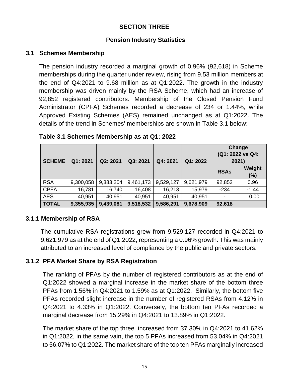## **SECTION THREE**

#### <span id="page-16-1"></span> **Pension Industry Statistics**

#### <span id="page-16-2"></span><span id="page-16-0"></span>**3.1 Schemes Membership**

The pension industry recorded a marginal growth of 0.96% (92,618) in Scheme memberships during the quarter under review, rising from 9.53 million members at the end of Q4:2021 to 9.68 million as at Q1:2022. The growth in the industry membership was driven mainly by the RSA Scheme, which had an increase of 92,852 registered contributors. Membership of the Closed Pension Fund Administrator (CPFA) Schemes recorded a decrease of 234 or 1.44%, while Approved Existing Schemes (AES) remained unchanged as at Q1:2022. The details of the trend in Schemes' memberships are shown in Table 3.1 below:

| <b>SCHEME</b> | Q1: 2021  | Q2: 2021  | Q3: 2021  | Q4: 2021  | Q1:2022   | <b>Change</b><br>(Q1: 2022 vs Q4:<br>2021) |               |
|---------------|-----------|-----------|-----------|-----------|-----------|--------------------------------------------|---------------|
|               |           |           |           |           |           | <b>RSAs</b>                                | Weight<br>(%) |
| <b>RSA</b>    | 9,300,058 | 9,383,204 | 9,461,173 | 9,529,127 | 9,621,979 | 92,852                                     | 0.96          |
| <b>CPFA</b>   | 16,781    | 16,740    | 16,408    | 16,213    | 15,979    | $-234$                                     | $-1.44$       |
| <b>AES</b>    | 40,951    | 40,951    | 40,951    | 40,951    | 40,951    |                                            | 0.00          |
| <b>TOTAL</b>  | 9,355,935 | 9,439,081 | 9,518,532 | 9,586,291 | 9,678,909 | 92,618                                     |               |

<span id="page-16-5"></span>**Table 3.1 Schemes Membership as at Q1: 2022**

#### <span id="page-16-3"></span>**3.1.1 Membership of RSA**

The cumulative RSA registrations grew from 9,529,127 recorded in Q4:2021 to 9,621,979 as at the end of Q1:2022, representing a 0.96% growth. This was mainly attributed to an increased level of compliance by the public and private sectors.

#### <span id="page-16-4"></span>**3.1.2 PFA Market Share by RSA Registration**

The ranking of PFAs by the number of registered contributors as at the end of Q1:2022 showed a marginal increase in the market share of the bottom three PFAs from 1.56% in Q4:2021 to 1.59% as at Q1:2022. Similarly, the bottom five PFAs recorded slight increase in the number of registered RSAs from 4.12% in Q4:2021 to 4.33% in Q1:2022. Conversely, the bottom ten PFAs recorded a marginal decrease from 15.29% in Q4:2021 to 13.89% in Q1:2022.

The market share of the top three increased from 37.30% in Q4:2021 to 41.62% in Q1:2022, in the same vain, the top 5 PFAs increased from 53.04% in Q4:2021 to 56.07% to Q1:2022. The market share of the top ten PFAs marginally increased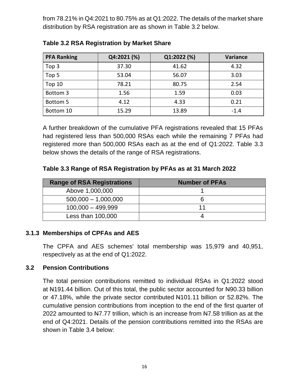from 78.21% in Q4:2021 to 80.75% as at Q1:2022. The details of the market share distribution by RSA registration are as shown in Table 3.2 below.

| <b>PFA Ranking</b> | Q4:2021 (%) | Q1:2022 (%) | <b>Variance</b> |
|--------------------|-------------|-------------|-----------------|
| Top 3              | 37.30       | 41.62       | 4.32            |
| Top 5              | 53.04       | 56.07       | 3.03            |
| Top 10             | 78.21       | 80.75       | 2.54            |
| Bottom 3           | 1.56        | 1.59        | 0.03            |
| Bottom 5           | 4.12        | 4.33        | 0.21            |
| Bottom 10          | 15.29       | 13.89       | $-1.4$          |

<span id="page-17-2"></span>

| <b>Table 3.2 RSA Registration by Market Share</b> |  |
|---------------------------------------------------|--|
|---------------------------------------------------|--|

A further breakdown of the cumulative PFA registrations revealed that 15 PFAs had registered less than 500,000 RSAs each while the remaining 7 PFAs had registered more than 500,000 RSAs each as at the end of Q1:2022. Table 3.3 below shows the details of the range of RSA registrations.

<span id="page-17-3"></span>**Table 3.3 Range of RSA Registration by PFAs as at 31 March 2022**

| <b>Range of RSA Registrations</b> | <b>Number of PFAs</b> |
|-----------------------------------|-----------------------|
| Above 1,000,000                   |                       |
| $500,000 - 1,000,000$             |                       |
| $100,000 - 499,999$               |                       |
| Less than 100,000                 |                       |

#### <span id="page-17-0"></span>**3.1.3 Memberships of CPFAs and AES**

The CPFA and AES schemes' total membership was 15,979 and 40,951, respectively as at the end of Q1:2022.

#### <span id="page-17-1"></span>**3.2 Pension Contributions**

The total pension contributions remitted to individual RSAs in Q1:2022 stood at N191.44 billion. Out of this total, the public sector accounted for N90.33 billion or 47.18%, while the private sector contributed N101.11 billion or 52.82%. The cumulative pension contributions from inception to the end of the first quarter of 2022 amounted to N7.77 trillion, which is an increase from N7.58 trillion as at the end of Q4:2021. Details of the pension contributions remitted into the RSAs are shown in Table 3.4 below: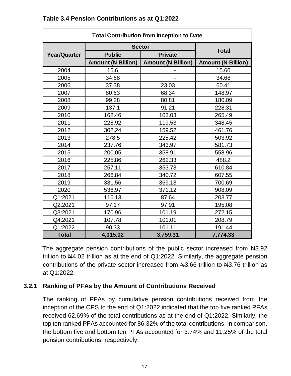| <b>Total Contribution from Inception to Date</b> |                           |                           |                           |  |  |  |
|--------------------------------------------------|---------------------------|---------------------------|---------------------------|--|--|--|
|                                                  |                           | <b>Sector</b>             |                           |  |  |  |
| <b>Year/Quarter</b>                              | <b>Public</b>             | <b>Private</b>            | <b>Total</b>              |  |  |  |
|                                                  | <b>Amount (N Billion)</b> | <b>Amount (N Billion)</b> | <b>Amount (N Billion)</b> |  |  |  |
| 2004                                             | 15.6                      |                           | 15.60                     |  |  |  |
| 2005                                             | 34.68                     |                           | 34.68                     |  |  |  |
| 2006                                             | 37.38                     | 23.03                     | 60.41                     |  |  |  |
| 2007                                             | 80.63                     | 68.34                     | 148.97                    |  |  |  |
| 2008                                             | 99.28                     | 80.81                     | 180.09                    |  |  |  |
| 2009                                             | 137.1                     | 91.21                     | 228.31                    |  |  |  |
| 2010                                             | 162.46                    | 103.03                    | 265.49                    |  |  |  |
| 2011                                             | 228.92                    | 119.53                    | 348.45                    |  |  |  |
| 2012                                             | 302.24                    | 159.52                    | 461.76                    |  |  |  |
| 2013                                             | 278.5                     | 225.42                    | 503.92                    |  |  |  |
| 2014                                             | 237.76                    | 343.97                    | 581.73                    |  |  |  |
| 2015                                             | 200.05                    | 358.91                    | 558.96                    |  |  |  |
| 2016                                             | 225.86                    | 262.33                    | 488.2                     |  |  |  |
| 2017                                             | 257.11                    | 353.73                    | 610.84                    |  |  |  |
| 2018                                             | 266.84                    | 340.72                    | 607.55                    |  |  |  |
| 2019                                             | 331.56                    | 369.13                    | 700.69                    |  |  |  |
| 2020                                             | 536.97                    | 371.12                    | 908.09                    |  |  |  |
| Q1:2021                                          | 116.13                    | 87.64                     | 203.77                    |  |  |  |
| Q2:2021                                          | 97.17                     | 97.91                     | 195.08                    |  |  |  |
| Q3:2021                                          | 170.96                    | 101.19                    | 272.15                    |  |  |  |
| Q4:2021                                          | 107.78                    | 101.01                    | 208.79                    |  |  |  |
| Q1:2022                                          | 90.33                     | 101.11                    | 191.44                    |  |  |  |
| <b>Total</b>                                     | 4,015.02                  | 3,759.31                  | 7,774.33                  |  |  |  |

#### <span id="page-18-1"></span>**Table 3.4 Pension Contributions as at Q1:2022**

The aggregate pension contributions of the public sector increased from  $\text{H}3.92$ trillion to  $N4.02$  trillion as at the end of Q1:2022. Similarly, the aggregate pension contributions of the private sector increased from  $\mu$ 3.66 trillion to  $\mu$ 3.76 trillion as at Q1:2022.

#### <span id="page-18-0"></span>**3.2.1 Ranking of PFAs by the Amount of Contributions Received**

The ranking of PFAs by cumulative pension contributions received from the inception of the CPS to the end of Q1:2022 indicated that the top five ranked PFAs received 62.69% of the total contributions as at the end of Q1:2022. Similarly, the top ten ranked PFAs accounted for 86.32% of the total contributions. In comparison, the bottom five and bottom ten PFAs accounted for 3.74% and 11.25% of the total pension contributions, respectively.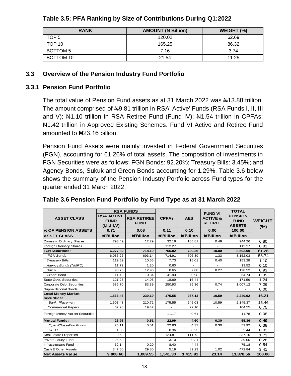| <b>RANK</b>     | <b>AMOUNT (N Billion)</b> | WEIGHT (%) |
|-----------------|---------------------------|------------|
| TOP 5           | 120.02                    | 62.69      |
| TOP 10          | 165.25                    | 86.32      |
| <b>BOTTOM 5</b> | 7.16                      | 3.74       |
| BOTTOM 10       | 21.54                     | 11.25      |

#### <span id="page-19-2"></span>**Table 3.5: PFA Ranking by Size of Contributions During Q1:2022**

#### <span id="page-19-0"></span>**3.3 Overview of the Pension Industry Fund Portfolio**

#### <span id="page-19-1"></span>**3.3.1 Pension Fund Portfolio**

The total value of Pension Fund assets as at 31 March 2022 was N13.88 trillion. The amount comprised of  $\mu$ 9.81 trillion in RSA' Active' Funds (RSA Funds I, II, III and V); N41.10 trillion in RSA Retiree Fund (Fund IV); N41.54 trillion in CPFAs; **N1.42 trillion in Approved Existing Schemes. Fund VI Active and Retiree Fund** amounted to N23.16 billion.

Pension Fund Assets were mainly invested in Federal Government Securities (FGN), accounting for 61.26% of total assets. The composition of investments in FGN Securities were as follows: FGN Bonds: 92.20%; Treasury Bills: 3.45%; and Agency Bonds, Sukuk and Green Bonds accounting for 1.29%. Table 3.6 below shows the summary of the Pension Industry Portfolio across Fund types for the quarter ended 31 March 2022.

|                                          |                                  | <b>RSA FUNDS</b>         |                  |                  | <b>FUND VI</b>           | <b>TOTAL</b>                  |               |
|------------------------------------------|----------------------------------|--------------------------|------------------|------------------|--------------------------|-------------------------------|---------------|
| <b>ASSET CLASS</b>                       | <b>RSA ACTIVE</b><br><b>FUND</b> | <b>RSA RETIREE</b>       | <b>CPFAs</b>     | <b>AES</b>       | <b>ACTIVE &amp;</b>      | <b>PENSION</b><br><b>FUND</b> | <b>WEIGHT</b> |
|                                          | (I, II, III, V)                  | <b>FUND</b>              |                  |                  | <b>RETIREE</b>           | <b>ASSETS</b>                 | $(\% )$       |
| % OF PENSION ASSETS                      | 0.71                             | 0.08                     | 0.11             | 0.10             | 0.00                     | 100.00                        |               |
| <b>ASSET CLASS</b>                       | <b>N'Billion</b>                 | <b>N'Billion</b>         | <b>N'Billion</b> | <b>N'Billion</b> | <b>N'Billion</b>         | <b>N'Billion</b>              |               |
| Domestic Ordinary Shares                 | 793.49                           | 12.29                    | 32.18            | 105.81           | 0.49                     | 944.26                        | 6.80          |
| Foreign Ordinary Shares                  |                                  |                          | 112.27           |                  |                          | 112.27                        | 0.81          |
| <b>FGN Securities:</b>                   | 6,277.82                         | 718.19                   | 765.82           | 730.26           | 10.00                    | 8,502.09                      | 61.26         |
| <b>FGN Bonds</b>                         | 6,036.26                         | 693.14                   | 714.91           | 706.39           | 1.33                     | 8,152.03                      | 58.74         |
| <b>Treasury Bills</b>                    | 119.59                           | 10.55                    | 7.73             | 15.01            | 0.40                     | 153.28                        | 1.10          |
| Agency Bonds (NMRC)                      | 11.72                            | 1.20                     | 0.60             | ٠                | $\overline{a}$           | 13.52                         | 0.10          |
| <b>Sukuk</b>                             | 98.76                            | 12.96                    | 0.65             | 7.88             | 8.27                     | 128.52                        | 0.93          |
| Green' Bond                              | 11.49                            | 0.34                     | 41.93            | 0.98             | $\overline{\phantom{a}}$ | 54.74                         | 0.39          |
| <b>State Govt. Securities</b>            | 121.28                           | 14.98                    | 18.89            | 16.44            |                          | 171.59                        | 1.24          |
| <b>Corporate Debt Securities</b>         | 586.70                           | 83.39                    | 250.93           | 85.36            | 0.74                     | 1,007.12                      | 7.26          |
| Supra-National Bonds                     |                                  |                          |                  |                  |                          |                               | 0.00          |
| <b>Local Money Market</b><br>Securities: | 1,566.46                         | 230.19                   | 175.55           | 267.13           | 10.59                    | 2,249.92                      | 16.21         |
| <b>Bank Placement</b>                    | 1,503.48                         | 210.72                   | 175.55           | 245.03           | 10.59                    | 2,145.37                      | 15.46         |
| <b>Commercial Papers</b>                 | 62.98                            | 19.47                    |                  | 22.10            | $\mathbf{r}$             | 104.55                        | 0.75          |
| Foreign Money Market Securities          |                                  |                          | 11.17            | 0.61             | ÷                        | 11.78                         | 0.08          |
| <b>Mutual Funds:</b>                     | 26.96                            | 0.51                     | 22.99            | 4.60             | 0.30                     | 55.36                         | 0.40          |
| Open/Close-End Funds                     | 25.11                            | 0.51                     | 22.63            | 4.37             | 0.30                     | 52.92                         | 0.38          |
| <b>REITs</b>                             | 1.85                             | $\overline{\phantom{a}}$ | 0.36             | 0.23             | $\blacksquare$           | 2.44                          | 0.02          |
| <b>Real Estate Properties</b>            | 0.62                             | $\overline{\phantom{a}}$ | 124.81           | 111.72           | $\overline{a}$           | 237.15                        | 1.71          |
| Private Equity Fund                      | 25.59                            | $\overline{\phantom{a}}$ | 13.10            | 0.31             | $\sim$                   | 39.00                         | 0.28          |
| Infrastructure Fund                      | 62.14                            | 0.20                     | 8.40             | 4.44             |                          | 75.18                         | 0.54          |
| Cash & Other Assets                      | 347.60                           | 29.80                    | 5.19             | 89.23            | 1.02                     | 472.84                        | 3.41          |
| <b>Net Assets Value</b>                  | 9.808.66                         | 1,089.55                 | 1,541.30         | 1,415.91         | 23.14                    | 13,878.56                     | 100.00        |

#### <span id="page-19-3"></span>**Table 3.6 Pension Fund Portfolio by Fund Type as at 31 March 2022**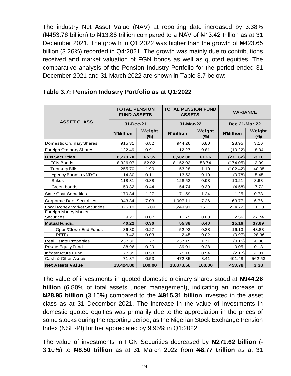The industry Net Asset Value (NAV) at reporting date increased by 3.38%  $(\text{N453.76 billion})$  to  $\text{N413.88}$  trillion compared to a NAV of  $\text{N413.42}$  trillion as at 31 December 2021. The growth in Q1:2022 was higher than the growth of  $\text{H}423.65$ billion (3.26%) recorded in Q4:2021. The growth was mainly due to contributions received and market valuation of FGN bonds as well as quoted equities. The comparative analysis of the Pension Industry Portfolio for the period ended 31 December 2021 and 31 March 2022 are shown in Table 3.7 below:

|                                                                                                                                                                                                                                                                                                                                                                                                                                                                                                                                                           | <b>TOTAL PENSION</b><br><b>FUND ASSETS</b> |               | <b>TOTAL PENSION FUND</b><br><b>ASSETS</b> |               | <b>VARIANCE</b>      |               |  |
|-----------------------------------------------------------------------------------------------------------------------------------------------------------------------------------------------------------------------------------------------------------------------------------------------------------------------------------------------------------------------------------------------------------------------------------------------------------------------------------------------------------------------------------------------------------|--------------------------------------------|---------------|--------------------------------------------|---------------|----------------------|---------------|--|
| <b>ASSET CLASS</b>                                                                                                                                                                                                                                                                                                                                                                                                                                                                                                                                        | 31-Dec-21                                  |               | 31-Mar-22                                  |               | <b>Dec 21-Mar 22</b> |               |  |
|                                                                                                                                                                                                                                                                                                                                                                                                                                                                                                                                                           | <b>N'Billion</b>                           | Weight<br>(%) | <b>N'Billion</b>                           | Weight<br>(%) | <b>N'Billion</b>     | Weight<br>(%) |  |
| Domestic Ordinary Shares                                                                                                                                                                                                                                                                                                                                                                                                                                                                                                                                  | 915.31                                     | 6.82          | 944.26                                     | 6.80          | 28.95                | 3.16          |  |
| Foreign Ordinary Shares                                                                                                                                                                                                                                                                                                                                                                                                                                                                                                                                   | 122.49                                     | 0.91          | 112.27                                     | 0.81          | (10.22)              | $-8.34$       |  |
| <b>FGN Securities:</b>                                                                                                                                                                                                                                                                                                                                                                                                                                                                                                                                    | 8,773.70                                   | 65.35         | 8,502.08                                   | 61.26         | (271.62)             | $-3.10$       |  |
| <b>FGN Bonds</b>                                                                                                                                                                                                                                                                                                                                                                                                                                                                                                                                          | 8,326.07                                   | 62.02         | 8,152.02                                   | 58.74         | (174.05)             | $-2.09$       |  |
| <b>Treasury Bills</b>                                                                                                                                                                                                                                                                                                                                                                                                                                                                                                                                     | 255.70                                     | 1.90          | 153.28                                     | 1.10          | (102.42)             | $-40.05$      |  |
| Agency Bonds (NMRC)                                                                                                                                                                                                                                                                                                                                                                                                                                                                                                                                       | 14.30                                      | 0.11          | 13.52                                      | 0.10          | (0.78)               | $-5.45$       |  |
| Sukuk                                                                                                                                                                                                                                                                                                                                                                                                                                                                                                                                                     | 118.31                                     | 0.88          | 128.52                                     | 0.93          | 10.21                | 8.63          |  |
| Green bonds                                                                                                                                                                                                                                                                                                                                                                                                                                                                                                                                               | 59.32                                      | 0.44          | 54.74                                      | 0.39          | (4.58)               | $-7.72$       |  |
| State Govt. Securities                                                                                                                                                                                                                                                                                                                                                                                                                                                                                                                                    | 170.34                                     | 1.27          | 171.59                                     | 1.24          | 1.25                 | 0.73          |  |
| <b>Corporate Debt Securities</b>                                                                                                                                                                                                                                                                                                                                                                                                                                                                                                                          | 943.34                                     | 7.03          | 1,007.11                                   | 7.26          | 63.77                | 6.76          |  |
| <b>Local Money Market Securities</b>                                                                                                                                                                                                                                                                                                                                                                                                                                                                                                                      | 2,025.19                                   | 15.09         | 2,249.91                                   | 16.21         | 224.72               | 11.10         |  |
| Foreign Money Market<br><b>Securities</b>                                                                                                                                                                                                                                                                                                                                                                                                                                                                                                                 | 9.23                                       | 0.07          | 11.79                                      | 0.08          | 2.56                 | 27.74         |  |
| <b>Mutual Funds:</b>                                                                                                                                                                                                                                                                                                                                                                                                                                                                                                                                      | 40.22                                      | 0.30          | 55.38                                      | 0.40          | 15.16                | 37.69         |  |
| Open/Close-End Funds                                                                                                                                                                                                                                                                                                                                                                                                                                                                                                                                      | 36.80                                      | 0.27          | 52.93                                      | 0.38          | 16.13                | 43.83         |  |
| <b>REITs</b>                                                                                                                                                                                                                                                                                                                                                                                                                                                                                                                                              | 3.42                                       | 0.03          | 2.45                                       | 0.02          | (0.97)               | $-28.36$      |  |
| <b>Real Estate Properties</b>                                                                                                                                                                                                                                                                                                                                                                                                                                                                                                                             | 237.30                                     | 1.77          | 237.15                                     | 1.71          | (0.15)               | $-0.06$       |  |
| Private Equity Fund                                                                                                                                                                                                                                                                                                                                                                                                                                                                                                                                       | 38.96                                      | 0.29          | 39.01                                      | 0.28          | 0.05                 | 0.13          |  |
| Infrastructure Fund                                                                                                                                                                                                                                                                                                                                                                                                                                                                                                                                       | 77.35                                      | 0.58          | 75.18                                      | 0.54          | (2.17)               | $-2.81$       |  |
| Cash & Other Assets                                                                                                                                                                                                                                                                                                                                                                                                                                                                                                                                       | 71.37                                      | 0.53          | 472.85                                     | 3.41          | 401.48               | 562.53        |  |
| <b>Net Assets Value</b>                                                                                                                                                                                                                                                                                                                                                                                                                                                                                                                                   | 13,424.80                                  | 100.00        | 13,878.58                                  | 100.00        | 453.78               | 3.38          |  |
| The value of investments in quoted domestic ordinary shares stood at N944.26<br>billion (6.80% of total assets under management), indicating an increase of<br>N28.95 billion (3.16%) compared to the N915.31 billion invested in the asset<br>class as at 31 December 2021. The increase in the value of investments in<br>domestic quoted equities was primarily due to the appreciation in the prices of<br>some stocks during the reporting period, as the Nigerian Stock Exchange Pension<br>Index (NSE-PI) further appreciated by 9.95% in Q1:2022. |                                            |               |                                            |               |                      |               |  |
| The value of investments in FGN Securities decreased by N271.62 billion (-<br>3.10%) to N8.50 trillion as at 31 March 2022 from N8.77 trillion as at 31                                                                                                                                                                                                                                                                                                                                                                                                   |                                            |               |                                            |               |                      |               |  |

#### <span id="page-20-0"></span>**Table 3.7: Pension Industry Portfolio as at Q1:2022**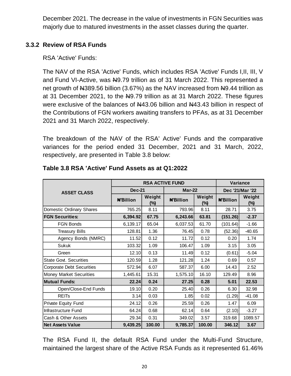December 2021. The decrease in the value of investments in FGN Securities was majorly due to matured investments in the asset classes during the quarter.

## <span id="page-21-0"></span>**3.3.2 Review of RSA Funds**

RSA 'Active' Funds:

The NAV of the RSA 'Active' Funds, which includes RSA 'Active' Funds I,II, III, V and Fund VI-Active, was N9.79 trillion as of 31 March 2022. This represented a net growth of  $\mu$ 389.56 billion (3.67%) as the NAV increased from  $\mu$ 9.44 trillion as at 31 December 2021, to the  $N9.79$  trillion as at 31 March 2022. These figures were exclusive of the balances of  $\mu$ 43.06 billion and  $\mu$ 43.43 billion in respect of the Contributions of FGN workers awaiting transfers to PFAs, as at 31 December 2021 and 31 March 2022, respectively.

The breakdown of the NAV of the RSA' Active' Funds and the comparative variances for the period ended 31 December, 2021 and 31 March, 2022, respectively, are presented in Table 3.8 below:

|                                  |                  | <b>RSA ACTIVE FUND</b> | Variance         |                  |                  |                  |
|----------------------------------|------------------|------------------------|------------------|------------------|------------------|------------------|
| <b>ASSET CLASS</b>               | <b>Dec-21</b>    |                        | $Mar-22$         |                  | Dec '21/Mar '22  |                  |
|                                  | <b>N'Billion</b> | Weight<br>$(\%)$       | <b>N'Billion</b> | Weight<br>$(\%)$ | <b>N'Billion</b> | Weight<br>$(\%)$ |
| Domestic Ordinary Shares         | 765.25           | 8.11                   | 793.96           | 8.11             | 28.71            | 3.75             |
| <b>FGN Securities:</b>           | 6,394.92         | 67.75                  | 6,243.66         | 63.81            | (151.26)         | $-2.37$          |
| <b>FGN Bonds</b>                 | 6,139.17         | 65.04                  | 6,037.53         | 61.70            | (101.64)         | $-1.66$          |
| <b>Treasury Bills</b>            | 128.81           | 1.36                   | 76.45            | 0.78             | (52.36)          | $-40.65$         |
| Agency Bonds (NMRC)              | 11.52            | 0.12                   | 11.72            | 0.12             | 0.20             | 1.74             |
| <b>Sukuk</b>                     | 103.32           | 1.09                   | 106.47           | 1.09             | 3.15             | 3.05             |
| Green                            | 12.10            | 0.13                   | 11.49            | 0.12             | (0.61)           | $-5.04$          |
| <b>State Govt. Securities</b>    | 120.59           | 1.28                   | 121.28           | 1.24             | 0.69             | 0.57             |
| <b>Corporate Debt Securities</b> | 572.94           | 6.07                   | 587.37           | 6.00             | 14.43            | 2.52             |
| <b>Money Market Securities</b>   | 1,445.61         | 15.31                  | 1,575.10         | 16.10            | 129.49           | 8.96             |
| <b>Mutual Funds:</b>             | 22.24            | 0.24                   | 27.25            | 0.28             | 5.01             | 22.53            |
| Open/Close-End Funds             | 19.10            | 0.20                   | 25.40            | 0.26             | 6.30             | 32.98            |
| <b>REIT<sub>s</sub></b>          | 3.14             | 0.03                   | 1.85             | 0.02             | (1.29)           | $-41.08$         |
| Private Equity Fund              | 24.12            | 0.26                   | 25.59            | 0.26             | 1.47             | 6.09             |
| Infrastructure Fund              | 64.24            | 0.68                   | 62.14            | 0.64             | (2.10)           | $-3.27$          |
| Cash & Other Assets              | 29.34            | 0.31                   | 349.02           | 3.57             | 319.68           | 1089.57          |
| <b>Net Assets Value</b>          | 9,439.25         | 100.00                 | 9,785.37         | 100.00           | 346.12           | 3.67             |

#### <span id="page-21-1"></span>**Table 3.8 RSA 'Active' Fund Assets as at Q1:2022**

The RSA Fund II, the default RSA Fund under the Multi-Fund Structure, maintained the largest share of the Active RSA Funds as it represented 61.46%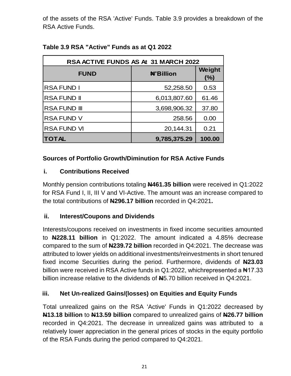of the assets of the RSA 'Active' Funds. Table 3.9 provides a breakdown of the RSA Active Funds.

| <b>RSA ACTIVE FUNDS AS At 31 MARCH 2022</b> |                  |               |  |  |  |  |  |
|---------------------------------------------|------------------|---------------|--|--|--|--|--|
| <b>FUND</b>                                 | <b>#'Billion</b> | Weight<br>(%) |  |  |  |  |  |
| <b>RSAFUND I</b>                            | 52,258.50        | 0.53          |  |  |  |  |  |
| <b>RSAFUND II</b>                           | 6,013,807.60     | 61.46         |  |  |  |  |  |
| <b>RSAFUND III</b>                          | 3,698,906.32     | 37.80         |  |  |  |  |  |
| <b>RSA FUND V</b>                           | 258.56           | 0.00          |  |  |  |  |  |
| <b>RSA FUND VI</b>                          | 20,144.31        | 0.21          |  |  |  |  |  |
| <b>TOTAL</b>                                | 9,785,375.29     | 100.00        |  |  |  |  |  |

## <span id="page-22-0"></span>**Table 3.9 RSA "Active" Funds as at Q1 2022**

## **Sources of Portfolio Growth/Diminution for RSA Active Funds**

## **i. Contributions Received**

Monthly pension contributions totaling **N461.35 billion** were received in Q1:2022 for RSA Fund I, II, III V and VI-Active. The amount was an increase compared to the total contributions of **N296.17 billion** recorded in Q4:2021**.**

## **ii. Interest/Coupons and Dividends**

Interests/coupons received on investments in fixed income securities amounted to **N228.11 billion** in Q1:2022. The amount indicated a 4.85% decrease compared to the sum of **N239.72 billion** recorded in Q4:2021. The decrease was attributed to lower yields on additional investments/reinvestments in short tenured fixed income Securities during the period. Furthermore, dividends of **N23.03** billion were received in RSA Active funds in Q1:2022, whichrepresented a  $\text{N17.33}$ billion increase relative to the dividends of **N**5.70 billion received in Q4:2021.

## **iii. Net Un-realized Gains/(losses) on Equities and Equity Funds**

Total unrealized gains on the RSA 'Active' Funds in Q1:2022 decreased by **N13.18 billion** to **N13.59 billion** compared to unrealized gains of **N26.77 billion** recorded in Q4:2021. The decrease in unrealized gains was attributed to a relatively lower appreciation in the general prices of stocks in the equity portfolio of the RSA Funds during the period compared to Q4:2021.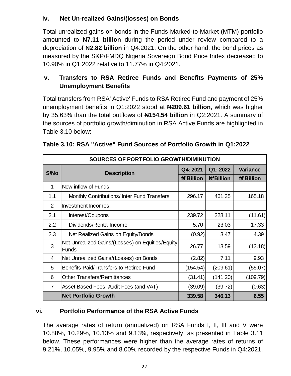## **iv. Net Un-realized Gains/(losses) on Bonds**

Total unrealized gains on bonds in the Funds Marked-to-Market (MTM) portfolio amounted to **N7.11 billion** during the period under review compared to a depreciation of **N2.82 billion** in Q4:2021. On the other hand, the bond prices as measured by the S&P/FMDQ Nigeria Sovereign Bond Price Index decreased to 10.90% in Q1:2022 relative to 11.77% in Q4:2021.

## **v. Transfers to RSA Retiree Funds and Benefits Payments of 25% Unemployment Benefits**

Total transfers from RSA' Active' Funds to RSA Retiree Fund and payment of 25% unemployment benefits in Q1:2022 stood at **N209.61 billion**, which was higher by 35.63% than the total outflows of **N154.54 billion** in Q2:2021. A summary of the sources of portfolio growth/diminution in RSA Active Funds are highlighted in Table 3.10 below:

|                | SOURCES OF PORTFOLIO GROWTH/DIMINUTION                           |                  |                  |                  |  |  |  |  |
|----------------|------------------------------------------------------------------|------------------|------------------|------------------|--|--|--|--|
| S/No           | <b>Description</b>                                               | Q4:2021          | Q1:2022          | <b>Variance</b>  |  |  |  |  |
|                |                                                                  | <b>N'Billion</b> | <b>N'Billion</b> | <b>#'Billion</b> |  |  |  |  |
| 1              | New inflow of Funds:                                             |                  |                  |                  |  |  |  |  |
| 1.1            | Monthly Contributions/ Inter Fund Transfers                      | 296.17           | 461.35           | 165.18           |  |  |  |  |
| $\overline{2}$ | Investment Incomes:                                              |                  |                  |                  |  |  |  |  |
| 2.1            | Interest/Coupons                                                 | 239.72           | 228.11           | (11.61)          |  |  |  |  |
| 2.2            | Dividends/Rental Income                                          | 5.70             | 23.03            | 17.33            |  |  |  |  |
| 2.3            | Net Realized Gains on Equity/Bonds                               | (0.92)           | 3.47             | 4.39             |  |  |  |  |
| 3              | Net Unrealized Gains/(Losses) on Equities/Equity<br><b>Funds</b> | 26.77            | 13.59            | (13.18)          |  |  |  |  |
| 4              | Net Unrealized Gains/(Losses) on Bonds                           | (2.82)           | 7.11             | 9.93             |  |  |  |  |
| 5              | Benefits Paid/Transfers to Retiree Fund                          | (154.54)         | (209.61)         | (55.07)          |  |  |  |  |
| 6              | <b>Other Transfers/Remittances</b>                               | (31.41)          | (141.20)         | (109.79)         |  |  |  |  |
| $\overline{7}$ | Asset Based Fees, Audit Fees (and VAT)                           | (39.09)          | (39.72)          | (0.63)           |  |  |  |  |
|                | <b>Net Portfolio Growth</b>                                      | 339.58           | 346.13           | 6.55             |  |  |  |  |

<span id="page-23-0"></span>

| Table 3.10: RSA "Active" Fund Sources of Portfolio Growth in Q1:2022 |  |  |  |  |
|----------------------------------------------------------------------|--|--|--|--|
|                                                                      |  |  |  |  |

#### **vi. Portfolio Performance of the RSA Active Funds**

<span id="page-23-1"></span>The average rates of return (annualized) on RSA Funds I, II, III and V were 10.88%, 10.29%, 10.13% and 9.13%, respectively, as presented in Table 3.11 below. These performances were higher than the average rates of returns of 9.21%, 10.05%, 9.95% and 8.00% recorded by the respective Funds in Q4:2021.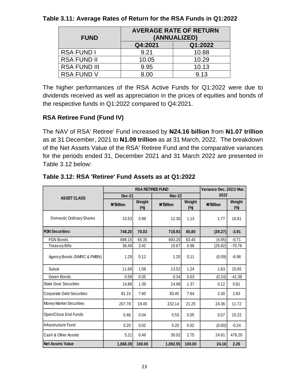| <b>FUND</b>         | <b>AVERAGE RATE OF RETURN</b><br>(ANNUALIZED) |         |  |  |  |
|---------------------|-----------------------------------------------|---------|--|--|--|
|                     | Q4:2021                                       | Q1:2022 |  |  |  |
| <b>RSA FUND I</b>   | 9.21                                          | 10.88   |  |  |  |
| <b>RSA FUND II</b>  | 10.05                                         | 10.29   |  |  |  |
| <b>RSA FUND III</b> | 9.95                                          | 10.13   |  |  |  |
| <b>RSA FUND V</b>   | 8.00                                          | 9.13    |  |  |  |

#### **Table 3.11: Average Rates of Return for the RSA Funds in Q1:2022**

The higher performances of the RSA Active Funds for Q1:2022 were due to dividends received as well as appreciation in the prices of equities and bonds of the respective funds in Q1:2022 compared to Q4:2021.

## **RSA Retiree Fund (Fund IV)**

The NAV of RSA' Retiree' Fund increased by **N24.16 billion** from **N1.07 trillion** as at 31 December, 2021 to **N1.09 trillion** as at 31 March, 2022. The breakdown of the Net Assets Value of the RSA' Retiree Fund and the comparative variances for the periods ended 31, December 2021 and 31 March 2022 are presented in Table 3.12 below:

|                                |               | Variance Dec. 2021/Mar. |           |                         |           |               |  |
|--------------------------------|---------------|-------------------------|-----------|-------------------------|-----------|---------------|--|
| <b>ASSET CLASS</b>             | <b>Dec-21</b> |                         | Mar-22    |                         | 2022      |               |  |
|                                | #'Billion     | Weight<br>$(\%)$        | #'Billion | Weight<br>$\frac{6}{3}$ | #'Billion | Weight<br>(%) |  |
| Domestic Ordinary Shares       | 10.53         | 0.99                    | 12.30     | 1.13                    | 1.77      | 16.81         |  |
| <b>FGN Securities:</b>         | 748.20        | 70.03                   | 718.93    | 65.80                   | (29.27)   | $-3.91$       |  |
| <b>FGN Bonds</b>               | 698.15        | 65.35                   | 693.20    | 63.45                   | (4.95)    | $-0.71$       |  |
| <b>Treasury Bills</b>          | 36.49         | 3.42                    | 10.67     | 0.98                    | (25.82)   | $-70.76$      |  |
| Agency Bonds (NMRC & FMBN)     | 1.29          | 0.12                    | 1.20      | 0.11                    | (0.09)    | $-6.98$       |  |
| Sukuk                          | 11.69         | 1.09                    | 13.52     | 1.24                    | 1.83      | 15.65         |  |
| Green Bonds                    | 0.58          | 0.05                    | 0.34      | 0.03                    | (0.24)    | $-41.38$      |  |
| State Govt. Securities         | 14.86         | 1.39                    | 14.98     | 1.37                    | 0.12      | 0.81          |  |
| Corporate Debt Securities      | 81.15         | 7.60                    | 83.45     | 7.64                    | 2.30      | 2.83          |  |
| <b>Money Market Securities</b> | 207.78        | 19.45                   | 232.14    | 21.25                   | 24.36     | 11.72         |  |
| Open/Close End Funds           | 0.46          | 0.04                    | 0.53      | 0.05                    | 0.07      | 15.22         |  |
| Infrastructure Fund            | 0.20          | 0.02                    | 0.20      | 0.02                    | (0.00)    | $-0.24$       |  |
| lCash & Other Assets           | 5.21          | 0.49                    | 30.02     | 2.75                    | 24.81     | 476.20        |  |
| <b>Net Assets Value</b>        | 1,068.39      | 100.00                  | 1.092.55  | 100.00                  | 24.16     | 2.26          |  |

#### <span id="page-24-0"></span>**Table 3.12: RSA 'Retiree' Fund Assets as at Q1:2022**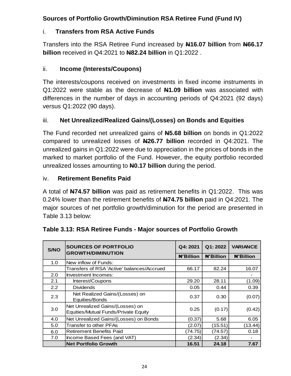## **Sources of Portfolio Growth/Diminution RSA Retiree Fund (Fund IV)**

## i. **Transfers from RSA Active Funds**

Transfers into the RSA Retiree Fund increased by **N16.07 billion** from **N66.17 billion** received in Q4:2021 to **N82.24 billion** in Q1:2022 .

## ii. **Income (Interests/Coupons)**

The interests/coupons received on investments in fixed income instruments in Q1:2022 were stable as the decrease of **N1.09 billion** was associated with differences in the number of days in accounting periods of Q4:2021 (92 days) versus Q1:2022 (90 days).

## iii. **Net Unrealized/Realized Gains/(Losses) on Bonds and Equities**

The Fund recorded net unrealized gains of **N5.68 billion** on bonds in Q1:2022 compared to unrealized losses of **N26.77 billion** recorded in Q4:2021. The unrealized gains in Q1:2022 were due to appreciation in the prices of bonds in the marked to market portfolio of the Fund. However, the equity portfolio recorded unrealized losses amounting to **N0.17 billion** during the period.

## iv. **Retirement Benefits Paid**

A total of **N74.57 billion** was paid as retirement benefits in Q1:2022. This was 0.24% lower than the retirement benefits of **N74.75 billion** paid in Q4:2021. The major sources of net portfolio growth/diminution for the period are presented in Table 3.13 below:

| S/NO | <b>SOURCES OF PORTFOLIO</b><br><b>GROWTH/DIMINUTION</b>                  |                  | Q1:2022          | <b>VARIANCE</b>  |
|------|--------------------------------------------------------------------------|------------------|------------------|------------------|
|      |                                                                          | <b>N'Billion</b> | <b>N'Billion</b> | <b>#'Billion</b> |
| 1.0  | New inflow of Funds:                                                     |                  |                  |                  |
|      | Transfers of RSA 'Active' balances/Accrued                               | 66.17            | 82.24            | 16.07            |
| 2.0  | Investment Incomes:                                                      |                  |                  |                  |
| 2.1  | Interest/Coupons                                                         | 29.20            | 28.11            | (1.09)           |
| 2.2  | <b>Dividends</b>                                                         | 0.05             | 0.44             | 0.39             |
| 2.3  | Net Realized Gains/(Losses) on<br>Equities/Bonds                         | 0.37             | 0.30             | (0.07)           |
| 3.0  | Net Unrealized Gains/(Losses) on<br>Equities/Mutual Funds/Private Equity | 0.25             | (0.17)           | (0.42)           |
| 4.0  | Net Unrealized Gains/(Losses) on Bonds                                   | (0.37)           | 5.68             | 6.05             |
| 5.0  | Transfer to other PFAs                                                   | (2.07)           | (15.51)          | (13.44)          |
| 6.0  | <b>Retirement Benefits Paid</b>                                          | (74.75)          | (74.57)          | 0.18             |
| 7.0  | Income Based Fees (and VAT)                                              | (2.34)           | (2.34)           |                  |
|      | <b>Net Portfolio Growth</b>                                              | 16.51            | 24.18            | 7.67             |

## <span id="page-25-0"></span>**Table 3.13: RSA Retiree Funds - Major sources of Portfolio Growth**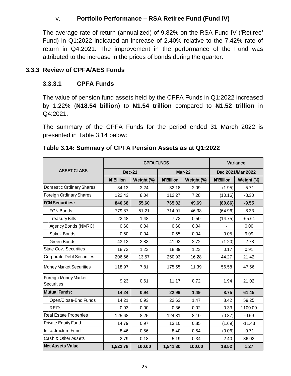## v. **Portfolio Performance – RSA Retiree Fund (Fund IV)**

The average rate of return (annualized) of 9.82% on the RSA Fund IV ('Retiree' Fund) in Q1:2022 indicated an increase of 2.40% relative to the 7.42% rate of return in Q4:2021. The improvement in the performance of the Fund was attributed to the increase in the prices of bonds during the quarter.

#### <span id="page-26-0"></span>**3.3.3 Review of CPFA/AES Funds**

#### **3.3.3.1 CPFA Funds**

The value of pension fund assets held by the CPFA Funds in Q1:2022 increased by 1.22% (**N18.54 billion**) to **N1.54 trillion** compared to **N1.52 trillion** in Q4:2021.

<span id="page-26-1"></span>The summary of the CPFA Funds for the period ended 31 March 2022 is presented in Table 3.14 below:

|                                           |                  | <b>CPFA FUNDS</b> | Variance         |            |                   |            |
|-------------------------------------------|------------------|-------------------|------------------|------------|-------------------|------------|
| <b>ASSET CLASS</b>                        | <b>Dec-21</b>    |                   | <b>Mar-22</b>    |            | Dec 2021/Mar 2022 |            |
|                                           | <b>N'Billion</b> | Weight (%)        | <b>N'Billion</b> | Weight (%) | <b>N'Billion</b>  | Weight (%) |
| Domestic Ordinary Shares                  | 34.13            | 2.24              | 32.18            | 2.09       | (1.95)            | $-5.71$    |
| <b>Foreign Ordinary Shares</b>            | 122.43           | 8.04              | 112.27           | 7.28       | (10.16)           | $-8.30$    |
| <b>FGN Securities:</b>                    | 846.68           | 55.60             | 765.82           | 49.69      | (80.86)           | $-9.55$    |
| <b>FGN Bonds</b>                          | 779.87           | 51.21             | 714.91           | 46.38      | (64.96)           | $-8.33$    |
| <b>Treasury Bills</b>                     | 22.48            | 1.48              | 7.73             | 0.50       | (14.75)           | $-65.61$   |
| Agency Bonds (NMRC)                       | 0.60             | 0.04              | 0.60             | 0.04       |                   | 0.00       |
| Sukuk Bonds                               | 0.60             | 0.04              | 0.65             | 0.04       | 0.05              | 9.09       |
| Green Bonds                               | 43.13            | 2.83              | 41.93            | 2.72       | (1.20)            | $-2.78$    |
| <b>State Govt. Securities</b>             | 18.72            | 1.23              | 18.89            | 1.23       | 0.17              | 0.91       |
| <b>Corporate Debt Securities</b>          | 206.66           | 13.57             | 250.93           | 16.28      | 44.27             | 21.42      |
| <b>Money Market Securities</b>            | 118.97           | 7.81              | 175.55           | 11.39      | 56.58             | 47.56      |
| Foreign Money Market<br><b>Securities</b> | 9.23             | 0.61              | 11.17            | 0.72       | 1.94              | 21.02      |
| <b>Mutual Funds:</b>                      | 14.24            | 0.94              | 22.99            | 1.49       | 8.75              | 61.45      |
| Open/Close-End Funds                      | 14.21            | 0.93              | 22.63            | 1.47       | 8.42              | 59.25      |
| <b>REIT<sub>s</sub></b>                   | 0.03             | 0.00              | 0.36             | 0.02       | 0.33              | 1100.00    |
| <b>Real Estate Properties</b>             | 125.68           | 8.25              | 124.81           | 8.10       | (0.87)            | $-0.69$    |
| Private Equity Fund                       | 14.79            | 0.97              | 13.10            | 0.85       | (1.69)            | $-11.43$   |
| Infrastructure Fund                       | 8.46             | 0.56              | 8.40             | 0.54       | (0.06)            | $-0.71$    |
| Cash & Other Assets                       | 2.79             | 0.18              | 5.19             | 0.34       | 2.40              | 86.02      |
| <b>Net Assets Value</b>                   | 1,522.78         | 100.00            | 1,541.30         | 100.00     | 18.52             | 1.27       |

#### **Table 3.14: Summary of CPFA Pension Assets as at Q1:2022**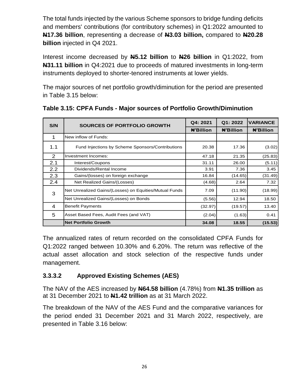The total funds injected by the various Scheme sponsors to bridge funding deficits and members' contributions (for contributory schemes) in Q1:2022 amounted to **N17.36 billion**, representing a decrease of **N3.03 billion,** compared to **N20.28 billion** injected in Q4 2021.

Interest income decreased by **N5.12 billion** to **N26 billion** in Q1:2022, from **N31.11 billion** in Q4:2021 due to proceeds of matured investments in long-term instruments deployed to shorter-tenored instruments at lower yields.

<span id="page-27-0"></span>The major sources of net portfolio growth/diminution for the period are presented in Table 3.15 below:

| S/N | <b>SOURCES OF PORTFOLIO GROWTH</b>                     | Q4: 2021 | Q1: 2022         | <b>VARIANCE</b>  |
|-----|--------------------------------------------------------|----------|------------------|------------------|
|     |                                                        |          | <b>N'Billion</b> | <b>N'Billion</b> |
| 1   | New inflow of Funds:                                   |          |                  |                  |
| 1.1 | Fund Injections by Scheme Sponsors/Contributions       | 20.38    | 17.36            | (3.02)           |
| 2   | Investment Incomes:                                    | 47.18    | 21.35            | (25.83)          |
| 2.1 | Interest/Coupons                                       | 31.11    | 26.00            | (5.11)           |
| 2.2 | Dividends/Rental Income                                | 3.91     | 7.36             | 3.45             |
| 2.3 | Gains/(losses) on foreign exchange                     | 16.84    | (14.65)          | (31.49)          |
| 2.4 | Net Realized Gains/(Losses)                            | (4.68)   | 2.64             | 7.32             |
| 3   | Net Unrealized Gains/(Losses) on Equities/Mutual Funds | 7.09     | (11.90)          | (18.99)          |
|     | Net Unrealized Gains/(Losses) on Bonds                 | (5.56)   | 12.94            | 18.50            |
| 4   | <b>Benefit Payments</b>                                | (32.97)  | (19.57)          | 13.40            |
| 5   | Asset Based Fees, Audit Fees (and VAT)                 | (2.04)   | (1.63)           | 0.41             |
|     | <b>Net Portfolio Growth</b>                            | 34.08    | 18.55            | (15.53)          |

**Table 3.15: CPFA Funds - Major sources of Portfolio Growth/Diminution**

The annualized rates of return recorded on the consolidated CPFA Funds for Q1:2022 ranged between 10.30% and 6.20%. The return was reflective of the actual asset allocation and stock selection of the respective funds under management.

## **3.3.3.2 Approved Existing Schemes (AES)**

The NAV of the AES increased by **N64.58 billion** (4.78%) from **N1.35 trillion** as at 31 December 2021 to **N1.42 trillion** as at 31 March 2022.

The breakdown of the NAV of the AES Fund and the comparative variances for the period ended 31 December 2021 and 31 March 2022, respectively, are presented in Table 3.16 below: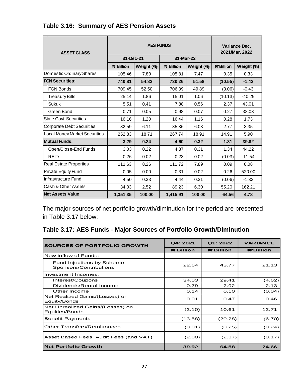| <b>ASSET CLASS</b>                   | <b>AES FUNDS</b> |            |           |            | Variance Dec.<br>2021/Mar. 2022 |            |
|--------------------------------------|------------------|------------|-----------|------------|---------------------------------|------------|
|                                      | 31-Dec-21        |            | 31-Mar-22 |            |                                 |            |
|                                      | <b>N'Billion</b> | Weight (%) | #'Billion | Weight (%) | <b>N'Billion</b>                | Weight (%) |
| Domestic Ordinary Shares             | 105.46           | 7.80       | 105.81    | 7.47       | 0.35                            | 0.33       |
| <b>FGN Securities:</b>               | 740.81           | 54.82      | 730.26    | 51.58      | (10.55)                         | $-1.42$    |
| <b>FGN Bonds</b>                     | 709.45           | 52.50      | 706.39    | 49.89      | (3.06)                          | $-0.43$    |
| <b>Treasury Bills</b>                | 25.14            | 1.86       | 15.01     | 1.06       | (10.13)                         | $-40.29$   |
| <b>Sukuk</b>                         | 5.51             | 0.41       | 7.88      | 0.56       | 2.37                            | 43.01      |
| Green Bond                           | 0.71             | 0.05       | 0.98      | 0.07       | 0.27                            | 38.03      |
| <b>State Govt. Securities</b>        | 16.16            | 1.20       | 16.44     | 1.16       | 0.28                            | 1.73       |
| <b>Corporate Debt Securities</b>     | 82.59            | 6.11       | 85.36     | 6.03       | 2.77                            | 3.35       |
| <b>Local Money Market Securities</b> | 252.83           | 18.71      | 267.74    | 18.91      | 14.91                           | 5.90       |
| Mutual Funds:                        | 3.29             | 0.24       | 4.60      | 0.32       | 1.31                            | 39.82      |
| Open/Close-End Funds                 | 3.03             | 0.22       | 4.37      | 0.31       | 1.34                            | 44.22      |
| <b>REITs</b>                         | 0.26             | 0.02       | 0.23      | 0.02       | (0.03)                          | $-11.54$   |
| <b>Real Estate Properties</b>        | 111.63           | 8.26       | 111.72    | 7.89       | 0.09                            | 0.08       |
| Private Equity Fund                  | 0.05             | 0.00       | 0.31      | 0.02       | 0.26                            | 520.00     |
| Infrastructure Fund                  | 4.50             | 0.33       | 4.44      | 0.31       | (0.06)                          | $-1.33$    |
| Cash & Other Assets                  | 34.03            | 2.52       | 89.23     | 6.30       | 55.20                           | 162.21     |
| <b>Net Assets Value</b>              | 1,351.35         | 100.00     | 1,415.91  | 100.00     | 64.56                           | 4.78       |

## <span id="page-28-0"></span>**Table 3.16: Summary of AES Pension Assets**

The major sources of net portfolio growth/diminution for the period are presented in Table 3.17 below:

# <span id="page-28-1"></span>**Table 3.17: AES Funds - Major Sources of Portfolio Growth/Diminution**

| <b>SOURCES OF PORTFOLIO GROWTH</b>                  | Q4: 2021         | Q1: 2022         | <b>VARIANCE</b>  |
|-----------------------------------------------------|------------------|------------------|------------------|
|                                                     | <b>N'Billion</b> | <b>N'Billion</b> | <b>#'Billion</b> |
| New inflow of Funds:                                |                  |                  |                  |
| Fund Injections by Scheme<br>Sponsors/Contributions | 22.64            | 43.77            | 21.13            |
| Investment Incomes:                                 |                  |                  |                  |
| Interest/Coupons                                    | 34.03            | 29.41            | (4.62)           |
| Dividends/Rental Income                             | 0.79             | 2.92             | 2.13             |
| Other Income                                        | 0.14             | 0.10             | (0.04)           |
| Net Realized Gains/(Losses) on<br>Equity/Bonds      | 0.01             | 0.47             | 0.46             |
| Net Unrealized Gains/(Losses) on<br>Equities/Bonds  | (2.10)           | 10.61            | 12.71            |
| <b>Benefit Payments</b>                             | (13.58)          | (20.28)          | (6.70)           |
| <b>Other Transfers/Remittances</b>                  | (0.01)           | (0.25)           | (0.24)           |
| Asset Based Fees, Audit Fees (and VAT)              | (2.00)           | (2.17)           | (0.17)           |
| <b>Net Portfolio Growth</b>                         | 39.92            | 64.58            | 24.66            |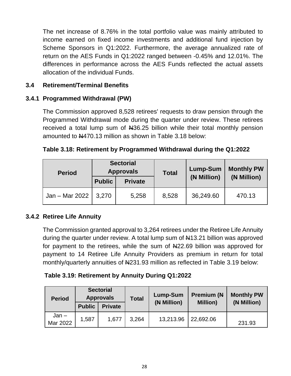The net increase of 8.76% in the total portfolio value was mainly attributed to income earned on fixed income investments and additional fund injection by Scheme Sponsors in Q1:2022. Furthermore, the average annualized rate of return on the AES Funds in Q1:2022 ranged between -0.45% and 12.01%. The differences in performance across the AES Funds reflected the actual assets allocation of the individual Funds.

## <span id="page-29-0"></span>**3.4 Retirement/Terminal Benefits**

## <span id="page-29-1"></span>**3.4.1 Programmed Withdrawal (PW)**

The Commission approved 8,528 retirees' requests to draw pension through the Programmed Withdrawal mode during the quarter under review. These retirees received a total lump sum of  $\mu$ 36.25 billion while their total monthly pension amounted to  $\frac{1470.13}{1000}$  million as shown in Table 3.18 below:

<span id="page-29-3"></span>

| Table 3.18: Retirement by Programmed Withdrawal during the Q1:2022 |  |
|--------------------------------------------------------------------|--|
|                                                                    |  |

| <b>Period</b>  | <b>Sectorial</b><br><b>Approvals</b> |                | <b>Total</b> | Lump-Sum    | <b>Monthly PW</b><br>(N Million) |  |
|----------------|--------------------------------------|----------------|--------------|-------------|----------------------------------|--|
|                | <b>Public</b>                        | <b>Private</b> |              | (N Million) |                                  |  |
| Jan - Mar 2022 | 3,270                                | 5,258          | 8,528        | 36,249.60   | 470.13                           |  |

#### <span id="page-29-2"></span>**3.4.2 Retiree Life Annuity**

The Commission granted approval to 3,264 retirees under the Retiree Life Annuity during the quarter under review. A total lump sum of  $\mu$ 13.21 billion was approved for payment to the retirees, while the sum of  $\mu$ 22.69 billion was approved for payment to 14 Retiree Life Annuity Providers as premium in return for total monthly/quarterly annuities of N231.93 million as reflected in Table 3.19 below:

#### <span id="page-29-4"></span>**Table 3.19: Retirement by Annuity During Q1:2022**

| <b>Period</b>       | <b>Sectorial</b><br><b>Approvals</b> |                | <b>Total</b> | Lump-Sum  | <b>Premium (N)</b><br><b>Million</b> ) | <b>Monthly PW</b><br>(N Million) |
|---------------------|--------------------------------------|----------------|--------------|-----------|----------------------------------------|----------------------------------|
|                     | <b>Public</b>                        | <b>Private</b> | (N Million)  |           |                                        |                                  |
| $Jan -$<br>Mar 2022 | 1,587                                | 1,677          | 3,264        | 13,213.96 | 22,692.06                              | 231.93                           |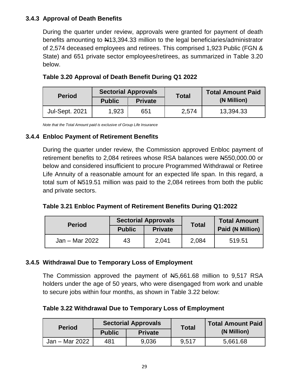## <span id="page-30-0"></span>**3.4.3 Approval of Death Benefits**

During the quarter under review, approvals were granted for payment of death benefits amounting to  $\frac{1413}{394.33}$  million to the legal beneficiaries/administrator of 2,574 deceased employees and retirees. This comprised 1,923 Public (FGN & State) and 651 private sector employees/retirees, as summarized in Table 3.20 below.

| <b>Period</b>         |               | <b>Sectorial Approvals</b> | <b>Total</b> | <b>Total Amount Paid</b> |  |
|-----------------------|---------------|----------------------------|--------------|--------------------------|--|
|                       | <b>Public</b> | <b>Private</b>             |              | (N Million)              |  |
| <b>Jul-Sept. 2021</b> | 1,923         | 651                        | 2,574        | 13,394.33                |  |

<span id="page-30-3"></span>

| Table 3.20 Approval of Death Benefit During Q1 2022 |  |  |  |
|-----------------------------------------------------|--|--|--|
|                                                     |  |  |  |

*Note that the Total Amount paid is exclusive of Group Life Insurance* 

#### <span id="page-30-1"></span>**3.4.4 Enbloc Payment of Retirement Benefits**

During the quarter under review, the Commission approved Enbloc payment of retirement benefits to 2,084 retirees whose RSA balances were N4550,000.00 or below and considered insufficient to procure Programmed Withdrawal or Retiree Life Annuity of a reasonable amount for an expected life span. In this regard, a total sum of  $H519.51$  million was paid to the 2,084 retirees from both the public and private sectors.

<span id="page-30-4"></span>

| Table 3.21 Enbloc Payment of Retirement Benefits During Q1:2022 |  |  |  |  |  |  |  |
|-----------------------------------------------------------------|--|--|--|--|--|--|--|
|-----------------------------------------------------------------|--|--|--|--|--|--|--|

| <b>Period</b>  | <b>Sectorial Approvals</b> |                | <b>Total</b> | <b>Total Amount</b> |  |
|----------------|----------------------------|----------------|--------------|---------------------|--|
|                | <b>Public</b>              | <b>Private</b> |              | Paid (N Million)    |  |
| Jan – Mar 2022 | 43                         | 2,041          | 2,084        | 519.51              |  |

#### <span id="page-30-2"></span>**3.4.5 Withdrawal Due to Temporary Loss of Employment**

The Commission approved the payment of N5,661.68 million to 9,517 RSA holders under the age of 50 years, who were disengaged from work and unable to secure jobs within four months, as shown in Table 3.22 below:

#### <span id="page-30-5"></span>**Table 3.22 Withdrawal Due to Temporary Loss of Employment**

| <b>Period</b>  | <b>Sectorial Approvals</b> |                | <b>Total</b> | <b>Total Amount Paid</b> |  |
|----------------|----------------------------|----------------|--------------|--------------------------|--|
|                | <b>Public</b>              | <b>Private</b> |              | (N Million)              |  |
| Jan – Mar 2022 | 481                        | 9,036          | 9,517        | 5,661.68                 |  |